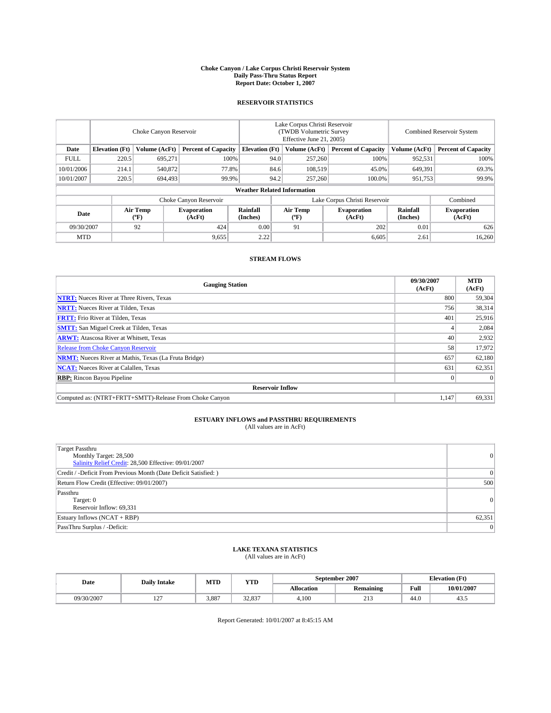#### **Choke Canyon / Lake Corpus Christi Reservoir System Daily Pass-Thru Status Report Report Date: October 1, 2007**

### **RESERVOIR STATISTICS**

|             | Choke Canyon Reservoir |                  |                              |                                    | Lake Corpus Christi Reservoir<br>(TWDB Volumetric Survey<br>Effective June 21, 2005) |                  |                               |                      | Combined Reservoir System    |  |  |
|-------------|------------------------|------------------|------------------------------|------------------------------------|--------------------------------------------------------------------------------------|------------------|-------------------------------|----------------------|------------------------------|--|--|
| Date        | <b>Elevation</b> (Ft)  | Volume (AcFt)    | <b>Percent of Capacity</b>   | <b>Elevation</b> (Ft)              |                                                                                      | Volume (AcFt)    | <b>Percent of Capacity</b>    | Volume (AcFt)        | <b>Percent of Capacity</b>   |  |  |
| <b>FULL</b> | 220.5                  | 695.271          | 100%                         |                                    | 94.0                                                                                 | 257,260          | 100%                          | 952,531              | 100%                         |  |  |
| 10/01/2006  | 214.1                  | 540,872          | 77.8%                        |                                    | 84.6                                                                                 | 108,519          | 45.0%                         | 649,391              | 69.3%                        |  |  |
| 10/01/2007  | 220.5                  | 694,493          | 99.9%                        |                                    | 94.2                                                                                 | 257,260          | 100.0%                        | 951,753              | 99.9%                        |  |  |
|             |                        |                  |                              | <b>Weather Related Information</b> |                                                                                      |                  |                               |                      |                              |  |  |
|             |                        |                  | Choke Canyon Reservoir       |                                    |                                                                                      |                  | Lake Corpus Christi Reservoir |                      | Combined                     |  |  |
| Date        |                        | Air Temp<br>(°F) | <b>Evaporation</b><br>(AcFt) | Rainfall<br>(Inches)               |                                                                                      | Air Temp<br>("F) | <b>Evaporation</b><br>(AcFt)  | Rainfall<br>(Inches) | <b>Evaporation</b><br>(AcFt) |  |  |
| 09/30/2007  |                        | 92               | 424                          | 0.00                               |                                                                                      | 91               | 202                           | 0.01                 | 626                          |  |  |
| <b>MTD</b>  |                        |                  | 9,655                        | 2.22                               |                                                                                      |                  | 6,605                         | 2.61                 | 16,260                       |  |  |

## **STREAM FLOWS**

| <b>Gauging Station</b>                                       | 09/30/2007<br>(AcFt) | <b>MTD</b><br>(AcFt) |
|--------------------------------------------------------------|----------------------|----------------------|
| <b>NTRT:</b> Nueces River at Three Rivers, Texas             | 800                  | 59,304               |
| <b>NRTT:</b> Nueces River at Tilden, Texas                   | 756                  | 38,314               |
| <b>FRTT:</b> Frio River at Tilden, Texas                     | 401                  | 25,916               |
| <b>SMTT:</b> San Miguel Creek at Tilden, Texas               |                      | 2,084                |
| <b>ARWT:</b> Atascosa River at Whitsett, Texas               | 40                   | 2,932                |
| <b>Release from Choke Canyon Reservoir</b>                   | 58                   | 17,972               |
| <b>NRMT:</b> Nueces River at Mathis, Texas (La Fruta Bridge) | 657                  | 62,180               |
| <b>NCAT:</b> Nueces River at Calallen, Texas                 | 631                  | 62,351               |
| <b>RBP:</b> Rincon Bayou Pipeline                            |                      | $\Omega$             |
| <b>Reservoir Inflow</b>                                      |                      |                      |
| Computed as: (NTRT+FRTT+SMTT)-Release From Choke Canyon      | 1,147                | 69,331               |

# **ESTUARY INFLOWS and PASSTHRU REQUIREMENTS**<br>(All values are in AcFt)

| <b>Target Passthru</b><br>Monthly Target: 28,500<br>Salinity Relief Credit: 28,500 Effective: 09/01/2007 | $\vert 0 \vert$ |
|----------------------------------------------------------------------------------------------------------|-----------------|
| Credit / -Deficit From Previous Month (Date Deficit Satisfied: )                                         | $\Omega$        |
| Return Flow Credit (Effective: 09/01/2007)                                                               | 500             |
| Passthru<br>Target: 0<br>Reservoir Inflow: 69,331                                                        | $\vert 0 \vert$ |
| Estuary Inflows (NCAT + RBP)                                                                             | 62,351          |
| PassThru Surplus / -Deficit:                                                                             | $\Omega$        |

## **LAKE TEXANA STATISTICS** (All values are in AcFt)

| Date       | <b>Daily Intake</b>      | MTD   | <b>YTD</b>         |                   | September 2007              | <b>Elevation (Ft)</b> |            |
|------------|--------------------------|-------|--------------------|-------------------|-----------------------------|-----------------------|------------|
|            |                          |       |                    | <b>Allocation</b> | <b>Remaining</b>            | Full                  | 10/01/2007 |
| 09/30/2007 | $\sim$<br>$\overline{1}$ | 3.887 | 22.027<br>، ده. عد | 4.100             | $\sim$ 1 $\sim$<br><u>.</u> | 44.0                  | ر+         |

Report Generated: 10/01/2007 at 8:45:15 AM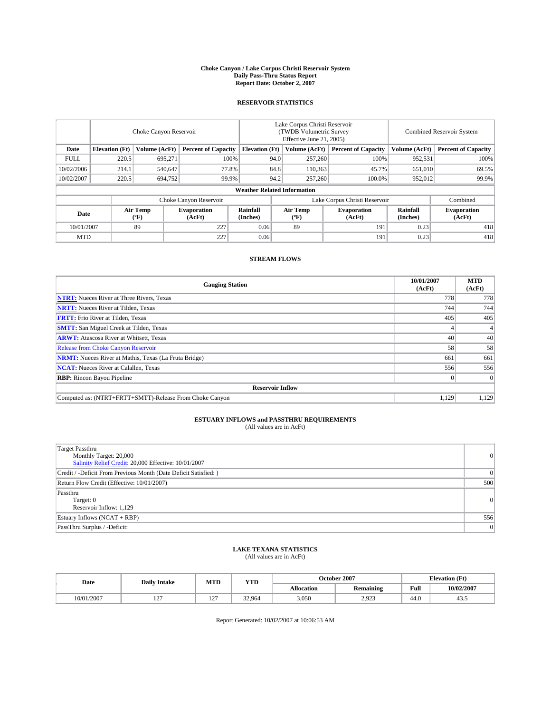#### **Choke Canyon / Lake Corpus Christi Reservoir System Daily Pass-Thru Status Report Report Date: October 2, 2007**

### **RESERVOIR STATISTICS**

|             | Choke Canyon Reservoir             |                  |                              |                       | Lake Corpus Christi Reservoir<br>(TWDB Volumetric Survey<br>Effective June 21, 2005) |                  |                               |                      | <b>Combined Reservoir System</b> |  |  |
|-------------|------------------------------------|------------------|------------------------------|-----------------------|--------------------------------------------------------------------------------------|------------------|-------------------------------|----------------------|----------------------------------|--|--|
| Date        | <b>Elevation</b> (Ft)              | Volume (AcFt)    | <b>Percent of Capacity</b>   | <b>Elevation</b> (Ft) |                                                                                      | Volume (AcFt)    | <b>Percent of Capacity</b>    | Volume (AcFt)        | <b>Percent of Capacity</b>       |  |  |
| <b>FULL</b> | 220.5                              | 695.271          | 100%                         |                       | 94.0                                                                                 | 257,260          | 100%                          | 952,531              | 100%                             |  |  |
| 10/02/2006  | 214.1                              | 540,647          | 77.8%                        |                       | 84.8                                                                                 | 110,363          | 45.7%                         | 651,010              | 69.5%                            |  |  |
| 10/02/2007  | 220.5                              | 694,752          | 99.9%                        |                       | 94.2                                                                                 | 257,260          | 100.0%                        | 952.012              | 99.9%                            |  |  |
|             | <b>Weather Related Information</b> |                  |                              |                       |                                                                                      |                  |                               |                      |                                  |  |  |
|             |                                    |                  | Choke Canyon Reservoir       |                       |                                                                                      |                  | Lake Corpus Christi Reservoir |                      | Combined                         |  |  |
| Date        |                                    | Air Temp<br>(°F) | <b>Evaporation</b><br>(AcFt) | Rainfall<br>(Inches)  |                                                                                      | Air Temp<br>("F) | <b>Evaporation</b><br>(AcFt)  | Rainfall<br>(Inches) | <b>Evaporation</b><br>(AcFt)     |  |  |
| 10/01/2007  |                                    | 89               | 227                          | 0.06                  |                                                                                      | 89               | 191                           | 0.23                 | 418                              |  |  |
| <b>MTD</b>  |                                    |                  | 227                          | 0.06                  |                                                                                      |                  | 191                           | 0.23                 | 418                              |  |  |

## **STREAM FLOWS**

| <b>Gauging Station</b>                                       | 10/01/2007<br>(AcFt) | <b>MTD</b><br>(AcFt) |
|--------------------------------------------------------------|----------------------|----------------------|
| <b>NTRT:</b> Nueces River at Three Rivers, Texas             | 778                  | 778                  |
| <b>NRTT:</b> Nueces River at Tilden, Texas                   | 744                  | 744                  |
| <b>FRTT:</b> Frio River at Tilden, Texas                     | 405                  | 405                  |
| <b>SMTT:</b> San Miguel Creek at Tilden, Texas               |                      |                      |
| <b>ARWT:</b> Atascosa River at Whitsett, Texas               | 40                   | 40                   |
| <b>Release from Choke Canyon Reservoir</b>                   | 58                   | 58                   |
| <b>NRMT:</b> Nueces River at Mathis, Texas (La Fruta Bridge) | 661                  | 661                  |
| <b>NCAT:</b> Nueces River at Calallen, Texas                 | 556                  | 556                  |
| <b>RBP:</b> Rincon Bayou Pipeline                            |                      | $\Omega$             |
| <b>Reservoir Inflow</b>                                      |                      |                      |
| Computed as: (NTRT+FRTT+SMTT)-Release From Choke Canyon      | 1.129                | 1,129                |

## **ESTUARY INFLOWS and PASSTHRU REQUIREMENTS**<br>(All values are in AcFt)

| <b>Target Passthru</b><br>Monthly Target: 20,000<br>Salinity Relief Credit: 20,000 Effective: 10/01/2007 | 0        |
|----------------------------------------------------------------------------------------------------------|----------|
| Credit / -Deficit From Previous Month (Date Deficit Satisfied: )                                         | $\Omega$ |
| Return Flow Credit (Effective: 10/01/2007)                                                               | 500      |
| Passthru<br>Target: 0<br>Reservoir Inflow: 1,129                                                         | 0        |
| Estuary Inflows (NCAT + RBP)                                                                             | 556      |
| PassThru Surplus / -Deficit:                                                                             | 0        |

## **LAKE TEXANA STATISTICS** (All values are in AcFt)

| Date                | <b>Daily Intake</b>      | MTD                   | YTD    |            | October 2007     | (Ft)<br><b>Elevation</b> |            |
|---------------------|--------------------------|-----------------------|--------|------------|------------------|--------------------------|------------|
|                     |                          |                       |        | Allocation | <b>Remaining</b> | Full                     | 10/02/2007 |
| 1/2007<br>$0/01/$ . | $\sim$<br>$\overline{1}$ | $-$<br>$\overline{1}$ | 32.964 | 3,050      | റ റാ<br>ل کا د ک | 44.0                     | ر          |

Report Generated: 10/02/2007 at 10:06:53 AM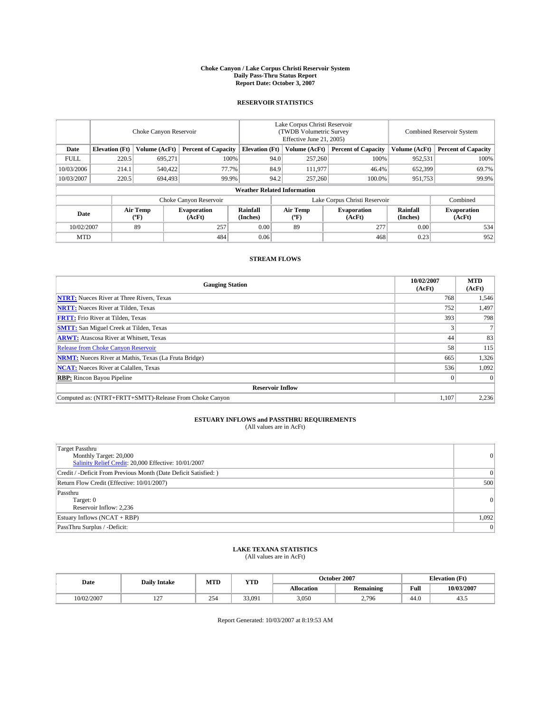#### **Choke Canyon / Lake Corpus Christi Reservoir System Daily Pass-Thru Status Report Report Date: October 3, 2007**

### **RESERVOIR STATISTICS**

|             | Choke Canyon Reservoir             |                  |                              |                       | Lake Corpus Christi Reservoir<br>(TWDB Volumetric Survey<br>Effective June 21, 2005) |                  |                               |                      | Combined Reservoir System    |  |  |
|-------------|------------------------------------|------------------|------------------------------|-----------------------|--------------------------------------------------------------------------------------|------------------|-------------------------------|----------------------|------------------------------|--|--|
| Date        | <b>Elevation</b> (Ft)              | Volume (AcFt)    | <b>Percent of Capacity</b>   | <b>Elevation</b> (Ft) |                                                                                      | Volume (AcFt)    | <b>Percent of Capacity</b>    | Volume (AcFt)        | <b>Percent of Capacity</b>   |  |  |
| <b>FULL</b> | 220.5                              | 695.271          | 100%                         |                       | 94.0                                                                                 | 257,260          | 100%                          | 952,531              | 100%                         |  |  |
| 10/03/2006  | 214.1                              | 540,422          | 77.7%                        |                       | 84.9                                                                                 | 111,977          | 46.4%                         | 652,399              | 69.7%                        |  |  |
| 10/03/2007  | 220.5                              | 694,493          | 99.9%                        |                       | 94.2                                                                                 | 257,260          | 100.0%                        | 951,753              | 99.9%                        |  |  |
|             | <b>Weather Related Information</b> |                  |                              |                       |                                                                                      |                  |                               |                      |                              |  |  |
|             |                                    |                  | Choke Canyon Reservoir       |                       |                                                                                      |                  | Lake Corpus Christi Reservoir |                      | Combined                     |  |  |
| Date        |                                    | Air Temp<br>(°F) | <b>Evaporation</b><br>(AcFt) | Rainfall<br>(Inches)  |                                                                                      | Air Temp<br>("F) | <b>Evaporation</b><br>(AcFt)  | Rainfall<br>(Inches) | <b>Evaporation</b><br>(AcFt) |  |  |
| 10/02/2007  |                                    | 89               | 257                          | 0.00                  |                                                                                      | 89               | 277                           | 0.00                 | 534                          |  |  |
| <b>MTD</b>  |                                    |                  | 484                          | 0.06                  |                                                                                      |                  | 468                           | 0.23                 | 952                          |  |  |

## **STREAM FLOWS**

| <b>Gauging Station</b>                                       | 10/02/2007<br>(AcFt) | <b>MTD</b><br>(AcFt) |
|--------------------------------------------------------------|----------------------|----------------------|
| <b>NTRT:</b> Nueces River at Three Rivers, Texas             | 768                  | 1,546                |
| <b>NRTT:</b> Nueces River at Tilden, Texas                   | 752                  | 1,497                |
| <b>FRTT:</b> Frio River at Tilden, Texas                     | 393                  | 798                  |
| <b>SMTT:</b> San Miguel Creek at Tilden, Texas               |                      |                      |
| <b>ARWT:</b> Atascosa River at Whitsett, Texas               | 44                   | 83                   |
| <b>Release from Choke Canyon Reservoir</b>                   | 58                   | 115                  |
| <b>NRMT:</b> Nueces River at Mathis, Texas (La Fruta Bridge) | 665                  | 1,326                |
| <b>NCAT:</b> Nueces River at Calallen, Texas                 | 536                  | 1,092                |
| <b>RBP:</b> Rincon Bayou Pipeline                            |                      | $\Omega$             |
| <b>Reservoir Inflow</b>                                      |                      |                      |
| Computed as: (NTRT+FRTT+SMTT)-Release From Choke Canyon      | 1.107                | 2,236                |

# **ESTUARY INFLOWS and PASSTHRU REQUIREMENTS**<br>(All values are in AcFt)

| <b>Target Passthru</b><br>Monthly Target: 20,000<br>Salinity Relief Credit: 20,000 Effective: 10/01/2007 | $\vert 0 \vert$ |
|----------------------------------------------------------------------------------------------------------|-----------------|
| Credit / -Deficit From Previous Month (Date Deficit Satisfied: )                                         | $\Omega$        |
| Return Flow Credit (Effective: 10/01/2007)                                                               | 500             |
| Passthru<br>Target: 0<br>Reservoir Inflow: 2,236                                                         | $\vert 0 \vert$ |
| Estuary Inflows (NCAT + RBP)                                                                             | 1,092           |
| PassThru Surplus / -Deficit:                                                                             | $\Omega$        |

# **LAKE TEXANA STATISTICS** (All values are in AcFt)

| Date       | <b>Daily Intake</b>      | MTD | <b>YTD</b> |                   | October 2007      | <b>Elevation</b> (Ft) |            |
|------------|--------------------------|-----|------------|-------------------|-------------------|-----------------------|------------|
|            |                          |     |            | <b>Allocation</b> | <b>Remaining</b>  | Full                  | 10/03/2007 |
| 10/02/2007 | $\sim$<br>$\overline{1}$ | 254 | 33,091     | 3,050             | 2,796<br><u>.</u> | 44.0                  | ر+         |

Report Generated: 10/03/2007 at 8:19:53 AM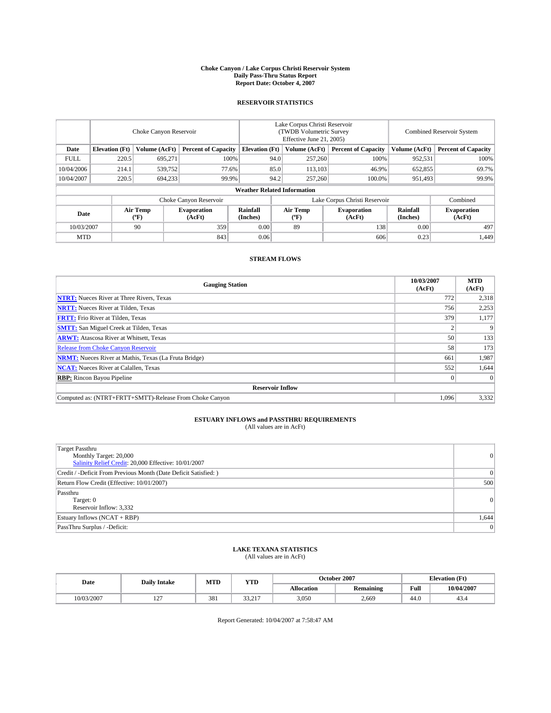#### **Choke Canyon / Lake Corpus Christi Reservoir System Daily Pass-Thru Status Report Report Date: October 4, 2007**

### **RESERVOIR STATISTICS**

|             | Choke Canyon Reservoir             |                  |                              |                       | Lake Corpus Christi Reservoir<br>(TWDB Volumetric Survey<br>Effective June 21, 2005) |                  |                               | Combined Reservoir System |                              |  |
|-------------|------------------------------------|------------------|------------------------------|-----------------------|--------------------------------------------------------------------------------------|------------------|-------------------------------|---------------------------|------------------------------|--|
| Date        | <b>Elevation</b> (Ft)              | Volume (AcFt)    | <b>Percent of Capacity</b>   | <b>Elevation</b> (Ft) |                                                                                      | Volume (AcFt)    | <b>Percent of Capacity</b>    | Volume (AcFt)             | <b>Percent of Capacity</b>   |  |
| <b>FULL</b> | 220.5                              | 695.271          | 100%                         |                       | 94.0                                                                                 | 257,260          | 100%                          | 952,531                   | 100%                         |  |
| 10/04/2006  | 214.1                              | 539,752          | 77.6%                        |                       | 85.0                                                                                 | 113,103          | 46.9%                         | 652,855                   | 69.7%                        |  |
| 10/04/2007  | 220.5                              | 694,233          | 99.9%                        |                       | 94.2                                                                                 | 257,260          | 100.0%                        | 951.493                   | 99.9%                        |  |
|             | <b>Weather Related Information</b> |                  |                              |                       |                                                                                      |                  |                               |                           |                              |  |
|             |                                    |                  | Choke Canyon Reservoir       |                       |                                                                                      |                  | Lake Corpus Christi Reservoir |                           | Combined                     |  |
| Date        |                                    | Air Temp<br>(°F) | <b>Evaporation</b><br>(AcFt) | Rainfall<br>(Inches)  |                                                                                      | Air Temp<br>("F) | <b>Evaporation</b><br>(AcFt)  | Rainfall<br>(Inches)      | <b>Evaporation</b><br>(AcFt) |  |
| 10/03/2007  |                                    | 90               | 359                          | 0.00                  |                                                                                      | 89               | 138                           | 0.00                      | 497                          |  |
| <b>MTD</b>  |                                    |                  | 843                          | 0.06                  |                                                                                      |                  | 606                           | 0.23                      | 1,449                        |  |

## **STREAM FLOWS**

| <b>Gauging Station</b>                                       | 10/03/2007<br>(AcFt) | <b>MTD</b><br>(AcFt) |
|--------------------------------------------------------------|----------------------|----------------------|
| <b>NTRT:</b> Nueces River at Three Rivers, Texas             | 772                  | 2,318                |
| <b>NRTT:</b> Nueces River at Tilden, Texas                   | 756                  | 2,253                |
| <b>FRTT:</b> Frio River at Tilden, Texas                     | 379                  | 1,177                |
| <b>SMTT:</b> San Miguel Creek at Tilden, Texas               |                      | 9                    |
| <b>ARWT:</b> Atascosa River at Whitsett, Texas               | 50                   | 133                  |
| <b>Release from Choke Canyon Reservoir</b>                   | 58                   | 173                  |
| <b>NRMT:</b> Nueces River at Mathis, Texas (La Fruta Bridge) | 661                  | 1,987                |
| <b>NCAT:</b> Nueces River at Calallen, Texas                 | 552                  | 1,644                |
| <b>RBP:</b> Rincon Bayou Pipeline                            |                      | $\Omega$             |
| <b>Reservoir Inflow</b>                                      |                      |                      |
| Computed as: (NTRT+FRTT+SMTT)-Release From Choke Canyon      | 1,096                | 3,332                |

# **ESTUARY INFLOWS and PASSTHRU REQUIREMENTS**<br>(All values are in AcFt)

| <b>Target Passthru</b><br>Monthly Target: 20,000<br>Salinity Relief Credit: 20,000 Effective: 10/01/2007 | $\vert 0 \vert$ |
|----------------------------------------------------------------------------------------------------------|-----------------|
| Credit / -Deficit From Previous Month (Date Deficit Satisfied: )                                         | $\Omega$        |
| Return Flow Credit (Effective: 10/01/2007)                                                               | 500             |
| Passthru<br>Target: 0<br>Reservoir Inflow: 3,332                                                         | $\vert 0 \vert$ |
| Estuary Inflows (NCAT + RBP)                                                                             | 1,644           |
| PassThru Surplus / -Deficit:                                                                             | $\Omega$        |

# **LAKE TEXANA STATISTICS** (All values are in AcFt)

| Date       | <b>Daily Intake</b>      | MTD | <b>YTD</b> |                   | October 2007     | <b>Elevation</b> (Ft) |            |
|------------|--------------------------|-----|------------|-------------------|------------------|-----------------------|------------|
|            |                          |     |            | <b>Allocation</b> | <b>Remaining</b> | Full                  | 10/04/2007 |
| 10/03/2007 | $\sim$<br>$\overline{1}$ | 381 | 22.27      | 3,050             | 2.669            | 44.0                  | 49.4       |

Report Generated: 10/04/2007 at 7:58:47 AM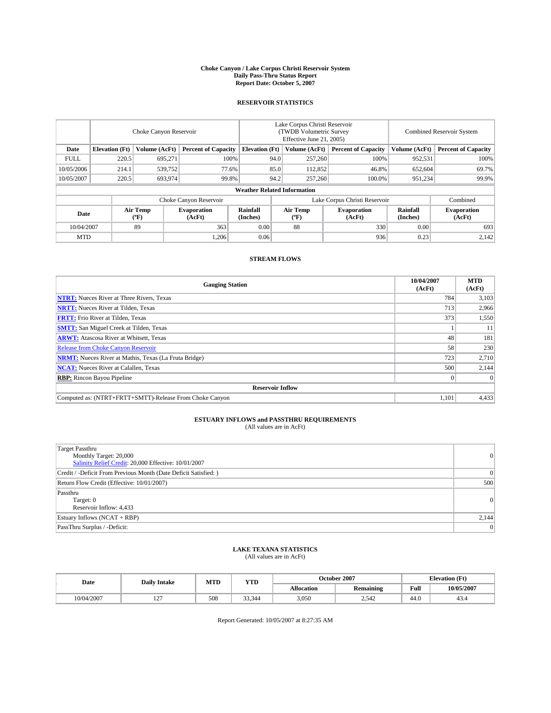#### **Choke Canyon / Lake Corpus Christi Reservoir System Daily Pass-Thru Status Report Report Date: October 5, 2007**

### **RESERVOIR STATISTICS**

|             | Choke Canyon Reservoir             |                  |                              |                       | Lake Corpus Christi Reservoir<br>(TWDB Volumetric Survey<br>Effective June 21, 2005) |                  |                               |                      | Combined Reservoir System    |  |  |
|-------------|------------------------------------|------------------|------------------------------|-----------------------|--------------------------------------------------------------------------------------|------------------|-------------------------------|----------------------|------------------------------|--|--|
| Date        | <b>Elevation</b> (Ft)              | Volume (AcFt)    | <b>Percent of Capacity</b>   | <b>Elevation</b> (Ft) |                                                                                      | Volume (AcFt)    | <b>Percent of Capacity</b>    | Volume (AcFt)        | <b>Percent of Capacity</b>   |  |  |
| <b>FULL</b> | 220.5                              | 695.271          | 100%                         |                       | 94.0                                                                                 | 257,260          | 100%                          | 952,531              | 100%                         |  |  |
| 10/05/2006  | 214.1                              | 539,752          | 77.6%                        |                       | 85.0                                                                                 | 112,852          | 46.8%                         | 652,604              | 69.7%                        |  |  |
| 10/05/2007  | 220.5                              | 693,974          | 99.8%                        |                       | 94.2                                                                                 | 257,260          | 100.0%                        | 951,234              | 99.9%                        |  |  |
|             | <b>Weather Related Information</b> |                  |                              |                       |                                                                                      |                  |                               |                      |                              |  |  |
|             |                                    |                  | Choke Canyon Reservoir       |                       |                                                                                      |                  | Lake Corpus Christi Reservoir |                      | Combined                     |  |  |
| Date        |                                    | Air Temp<br>(°F) | <b>Evaporation</b><br>(AcFt) | Rainfall<br>(Inches)  |                                                                                      | Air Temp<br>("F) | <b>Evaporation</b><br>(AcFt)  | Rainfall<br>(Inches) | <b>Evaporation</b><br>(AcFt) |  |  |
| 10/04/2007  |                                    | 89               | 363                          | 0.00                  |                                                                                      | 88               | 330                           | 0.00                 | 693                          |  |  |
| <b>MTD</b>  |                                    |                  | 1,206                        | 0.06                  |                                                                                      |                  | 936                           | 0.23                 | 2,142                        |  |  |

## **STREAM FLOWS**

| <b>Gauging Station</b>                                       | 10/04/2007<br>(AcFt) | <b>MTD</b><br>(AcFt) |
|--------------------------------------------------------------|----------------------|----------------------|
| <b>NTRT:</b> Nueces River at Three Rivers, Texas             | 784                  | 3,103                |
| <b>NRTT:</b> Nueces River at Tilden, Texas                   | 713                  | 2,966                |
| <b>FRTT:</b> Frio River at Tilden, Texas                     | 373                  | 1,550                |
| <b>SMTT:</b> San Miguel Creek at Tilden, Texas               |                      | 11                   |
| <b>ARWT:</b> Atascosa River at Whitsett, Texas               | 48                   | 181                  |
| <b>Release from Choke Canyon Reservoir</b>                   | 58                   | 230                  |
| <b>NRMT:</b> Nueces River at Mathis, Texas (La Fruta Bridge) | 723                  | 2,710                |
| <b>NCAT:</b> Nueces River at Calallen, Texas                 | 500                  | 2,144                |
| <b>RBP:</b> Rincon Bayou Pipeline                            |                      | $\Omega$             |
| <b>Reservoir Inflow</b>                                      |                      |                      |
| Computed as: (NTRT+FRTT+SMTT)-Release From Choke Canyon      | 1,101                | 4,433                |

# **ESTUARY INFLOWS and PASSTHRU REQUIREMENTS**<br>(All values are in AcFt)

| Target Passthru<br>Monthly Target: 20,000<br>Salinity Relief Credit: 20,000 Effective: 10/01/2007 | $\overline{0}$  |
|---------------------------------------------------------------------------------------------------|-----------------|
| Credit / -Deficit From Previous Month (Date Deficit Satisfied: )                                  | $\Omega$        |
| Return Flow Credit (Effective: 10/01/2007)                                                        | 500             |
| Passthru<br>Target: 0<br>Reservoir Inflow: 4,433                                                  | $\vert 0 \vert$ |
| Estuary Inflows (NCAT + RBP)                                                                      | 2,144           |
| PassThru Surplus / -Deficit:                                                                      | $\overline{0}$  |

## **LAKE TEXANA STATISTICS** (All values are in AcFt)

| Date       | <b>Daily Intake</b>      | MTD | <b>YTD</b> |                   | October 2007     | <b>Elevation (Ft)</b> |            |
|------------|--------------------------|-----|------------|-------------------|------------------|-----------------------|------------|
|            |                          |     |            | <b>Allocation</b> | <b>Remaining</b> | Full                  | 10/05/2007 |
| 10/04/2007 | $\sim$<br>$\overline{1}$ | 508 | 33.344     | 3,050             | 2.542            | 44.0                  | 49.4       |

Report Generated: 10/05/2007 at 8:27:35 AM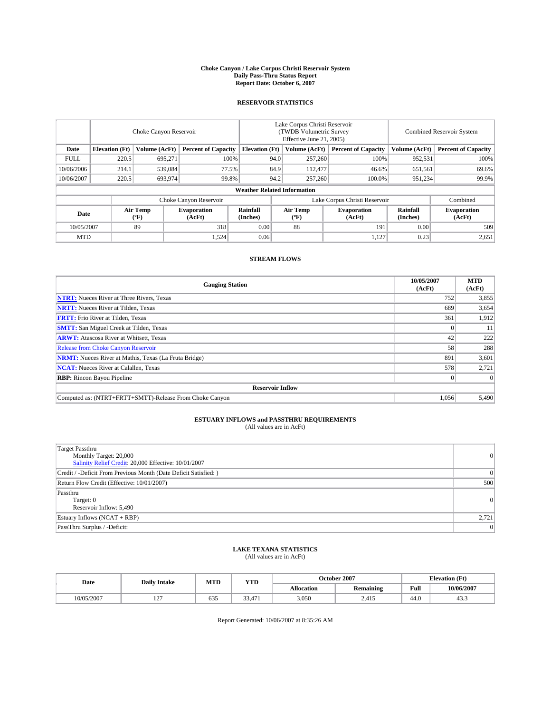#### **Choke Canyon / Lake Corpus Christi Reservoir System Daily Pass-Thru Status Report Report Date: October 6, 2007**

### **RESERVOIR STATISTICS**

|             | Choke Canyon Reservoir |                  |                              |                                    | Lake Corpus Christi Reservoir<br>(TWDB Volumetric Survey<br>Effective June 21, 2005) |                  |                               | <b>Combined Reservoir System</b> |                              |  |
|-------------|------------------------|------------------|------------------------------|------------------------------------|--------------------------------------------------------------------------------------|------------------|-------------------------------|----------------------------------|------------------------------|--|
| Date        | <b>Elevation</b> (Ft)  | Volume (AcFt)    | <b>Percent of Capacity</b>   | <b>Elevation</b> (Ft)              |                                                                                      | Volume (AcFt)    | <b>Percent of Capacity</b>    | Volume (AcFt)                    | <b>Percent of Capacity</b>   |  |
| <b>FULL</b> | 220.5                  | 695.271          |                              | 100%                               | 94.0                                                                                 | 257,260          | 100%                          | 952,531                          | 100%                         |  |
| 10/06/2006  | 214.1                  | 539,084          | 77.5%                        |                                    | 84.9                                                                                 | 112,477          | 46.6%                         | 651,561                          | 69.6%                        |  |
| 10/06/2007  | 220.5                  | 693,974          | 99.8%                        |                                    | 94.2                                                                                 | 257,260          | 100.0%                        | 951,234                          | 99.9%                        |  |
|             |                        |                  |                              | <b>Weather Related Information</b> |                                                                                      |                  |                               |                                  |                              |  |
|             |                        |                  | Choke Canyon Reservoir       |                                    |                                                                                      |                  | Lake Corpus Christi Reservoir |                                  | Combined                     |  |
| Date        |                        | Air Temp<br>(°F) | <b>Evaporation</b><br>(AcFt) | Rainfall<br>(Inches)               |                                                                                      | Air Temp<br>("F) | <b>Evaporation</b><br>(AcFt)  | Rainfall<br>(Inches)             | <b>Evaporation</b><br>(AcFt) |  |
| 10/05/2007  |                        | 89               | 318                          | 0.00                               |                                                                                      | 88               | 191                           | 0.00                             | 509                          |  |
| <b>MTD</b>  |                        |                  | 1,524                        | 0.06                               |                                                                                      |                  | 1,127                         | 0.23                             | 2,651                        |  |

## **STREAM FLOWS**

| <b>Gauging Station</b>                                       | 10/05/2007<br>(AcFt) | <b>MTD</b><br>(AcFt) |
|--------------------------------------------------------------|----------------------|----------------------|
| <b>NTRT:</b> Nueces River at Three Rivers, Texas             | 752                  | 3,855                |
| <b>NRTT:</b> Nueces River at Tilden, Texas                   | 689                  | 3,654                |
| <b>FRTT:</b> Frio River at Tilden, Texas                     | 361                  | 1,912                |
| <b>SMTT:</b> San Miguel Creek at Tilden, Texas               |                      | 11                   |
| <b>ARWT:</b> Atascosa River at Whitsett, Texas               | 42                   | 222                  |
| <b>Release from Choke Canyon Reservoir</b>                   | 58                   | 288                  |
| <b>NRMT:</b> Nueces River at Mathis, Texas (La Fruta Bridge) | 891                  | 3,601                |
| <b>NCAT:</b> Nueces River at Calallen, Texas                 | 578                  | 2,721                |
| <b>RBP:</b> Rincon Bayou Pipeline                            |                      | $\Omega$             |
| <b>Reservoir Inflow</b>                                      |                      |                      |
| Computed as: (NTRT+FRTT+SMTT)-Release From Choke Canyon      | 1.056                | 5.490                |

## **ESTUARY INFLOWS and PASSTHRU REQUIREMENTS**<br>(All values are in AcFt)

| <b>Target Passthru</b><br>Monthly Target: 20,000<br>Salinity Relief Credit: 20,000 Effective: 10/01/2007 | 0     |
|----------------------------------------------------------------------------------------------------------|-------|
| Credit / -Deficit From Previous Month (Date Deficit Satisfied: )                                         | 0     |
| Return Flow Credit (Effective: 10/01/2007)                                                               | 500   |
| Passthru<br>Target: 0<br>Reservoir Inflow: 5,490                                                         | 0     |
| Estuary Inflows (NCAT + RBP)                                                                             | 2,721 |
| PassThru Surplus / -Deficit:                                                                             | 0     |

## **LAKE TEXANA STATISTICS** (All values are in AcFt)

| Date       | <b>Daily Intake</b>      | MTD | <b>YTD</b>                                 |                   | October 2007     | <b>Elevation</b> (Ft) |            |
|------------|--------------------------|-----|--------------------------------------------|-------------------|------------------|-----------------------|------------|
|            |                          |     |                                            | <b>Allocation</b> | <b>Remaining</b> | Full                  | 10/06/2007 |
| 10/05/2007 | $\sim$<br>$\overline{1}$ | 635 | $\sim$<br>$\overline{\phantom{0}}$<br>334. | 3,050             | 2.415            | 44.0                  | د          |

Report Generated: 10/06/2007 at 8:35:26 AM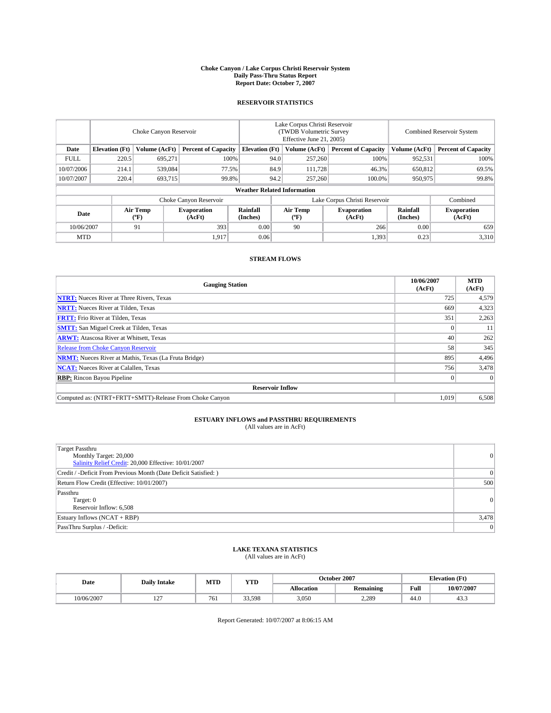#### **Choke Canyon / Lake Corpus Christi Reservoir System Daily Pass-Thru Status Report Report Date: October 7, 2007**

### **RESERVOIR STATISTICS**

|             | Choke Canyon Reservoir             |                  |                              |                       | Lake Corpus Christi Reservoir<br>(TWDB Volumetric Survey<br>Effective June 21, 2005) |                  |                               |                      | Combined Reservoir System    |  |  |
|-------------|------------------------------------|------------------|------------------------------|-----------------------|--------------------------------------------------------------------------------------|------------------|-------------------------------|----------------------|------------------------------|--|--|
| Date        | <b>Elevation</b> (Ft)              | Volume (AcFt)    | <b>Percent of Capacity</b>   | <b>Elevation</b> (Ft) |                                                                                      | Volume (AcFt)    | <b>Percent of Capacity</b>    | Volume (AcFt)        | <b>Percent of Capacity</b>   |  |  |
| <b>FULL</b> | 220.5                              | 695.271          | 100%                         |                       | 94.0                                                                                 | 257,260          | 100%                          | 952,531              | 100%                         |  |  |
| 10/07/2006  | 214.1                              | 539,084          | 77.5%                        |                       | 84.9                                                                                 | 111,728          | 46.3%                         | 650,812              | 69.5%                        |  |  |
| 10/07/2007  | 220.4                              | 693,715          | 99.8%                        |                       | 94.2                                                                                 | 257,260          | 100.0%                        | 950,975              | 99.8%                        |  |  |
|             | <b>Weather Related Information</b> |                  |                              |                       |                                                                                      |                  |                               |                      |                              |  |  |
|             |                                    |                  | Choke Canyon Reservoir       |                       |                                                                                      |                  | Lake Corpus Christi Reservoir |                      | Combined                     |  |  |
| Date        |                                    | Air Temp<br>(°F) | <b>Evaporation</b><br>(AcFt) | Rainfall<br>(Inches)  |                                                                                      | Air Temp<br>("F) | <b>Evaporation</b><br>(AcFt)  | Rainfall<br>(Inches) | <b>Evaporation</b><br>(AcFt) |  |  |
| 10/06/2007  |                                    | 91               | 393                          | 0.00                  |                                                                                      | 90               | 266                           | 0.00                 | 659                          |  |  |
| <b>MTD</b>  |                                    |                  | 1,917                        | 0.06                  |                                                                                      |                  | 1,393                         | 0.23                 | 3,310                        |  |  |

## **STREAM FLOWS**

| <b>Gauging Station</b>                                       | 10/06/2007<br>(AcFt) | <b>MTD</b><br>(AcFt) |
|--------------------------------------------------------------|----------------------|----------------------|
| <b>NTRT:</b> Nueces River at Three Rivers, Texas             | 725                  | 4,579                |
| <b>NRTT:</b> Nueces River at Tilden, Texas                   | 669                  | 4,323                |
| <b>FRTT:</b> Frio River at Tilden, Texas                     | 351                  | 2,263                |
| <b>SMTT:</b> San Miguel Creek at Tilden, Texas               |                      | 11                   |
| <b>ARWT:</b> Atascosa River at Whitsett, Texas               | 40                   | 262                  |
| <b>Release from Choke Canyon Reservoir</b>                   | 58                   | 345                  |
| <b>NRMT:</b> Nueces River at Mathis, Texas (La Fruta Bridge) | 895                  | 4,496                |
| <b>NCAT:</b> Nueces River at Calallen, Texas                 | 756                  | 3,478                |
| <b>RBP:</b> Rincon Bayou Pipeline                            |                      | $\Omega$             |
| <b>Reservoir Inflow</b>                                      |                      |                      |
| Computed as: (NTRT+FRTT+SMTT)-Release From Choke Canyon      | 1.019                | 6.508                |

# **ESTUARY INFLOWS and PASSTHRU REQUIREMENTS**<br>(All values are in AcFt)

| Target Passthru<br>Monthly Target: 20,000<br>Salinity Relief Credit: 20,000 Effective: 10/01/2007 | $\overline{0}$  |
|---------------------------------------------------------------------------------------------------|-----------------|
| Credit / -Deficit From Previous Month (Date Deficit Satisfied: )                                  | $\Omega$        |
| Return Flow Credit (Effective: 10/01/2007)                                                        | 500             |
| Passthru<br>Target: 0<br>Reservoir Inflow: 6,508                                                  | $\vert 0 \vert$ |
| Estuary Inflows (NCAT + RBP)                                                                      | 3,478           |
| PassThru Surplus / -Deficit:                                                                      | $\overline{0}$  |

# **LAKE TEXANA STATISTICS** (All values are in AcFt)

| Date       | <b>Daily Intake</b>      | MTD             | <b>YTD</b> |                   | October 2007     | <b>Elevation</b> (Ft) |            |
|------------|--------------------------|-----------------|------------|-------------------|------------------|-----------------------|------------|
|            |                          |                 |            | <b>Allocation</b> | <b>Remaining</b> | Full                  | 10/07/2007 |
| 10/06/2007 | $\sim$<br>$\overline{ }$ | 76 <sub>1</sub> | 33,598     | 3,050             | 2,289            | 44.0                  | د          |

Report Generated: 10/07/2007 at 8:06:15 AM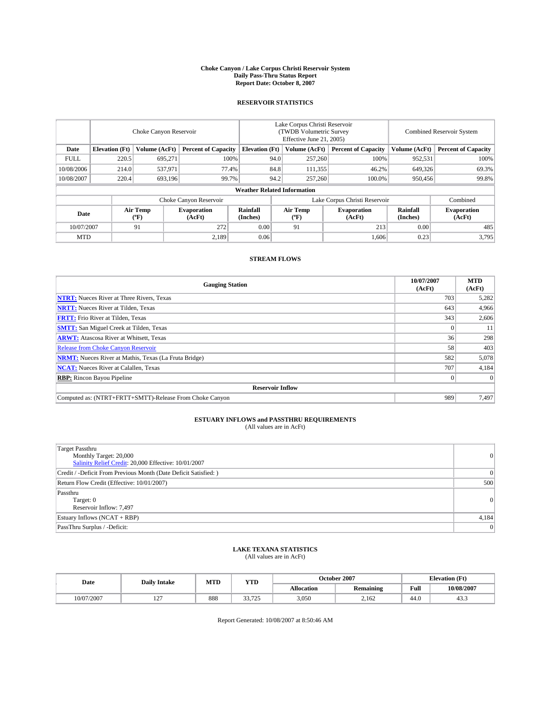#### **Choke Canyon / Lake Corpus Christi Reservoir System Daily Pass-Thru Status Report Report Date: October 8, 2007**

### **RESERVOIR STATISTICS**

|             | Choke Canyon Reservoir             |                  |                              |                       | Lake Corpus Christi Reservoir<br>(TWDB Volumetric Survey<br>Effective June 21, 2005) |                  |                               |                      | Combined Reservoir System    |  |  |
|-------------|------------------------------------|------------------|------------------------------|-----------------------|--------------------------------------------------------------------------------------|------------------|-------------------------------|----------------------|------------------------------|--|--|
| Date        | <b>Elevation</b> (Ft)              | Volume (AcFt)    | <b>Percent of Capacity</b>   | <b>Elevation</b> (Ft) |                                                                                      | Volume (AcFt)    | <b>Percent of Capacity</b>    | Volume (AcFt)        | <b>Percent of Capacity</b>   |  |  |
| <b>FULL</b> | 220.5                              | 695.271          | 100%                         |                       | 94.0                                                                                 | 257,260          | 100%                          | 952,531              | 100%                         |  |  |
| 10/08/2006  | 214.0                              | 537,971          | 77.4%                        |                       | 84.8                                                                                 | 111,355          | 46.2%                         | 649,326              | 69.3%                        |  |  |
| 10/08/2007  | 220.4                              | 693,196          | 99.7%                        |                       | 94.2                                                                                 | 257,260          | 100.0%                        | 950,456              | 99.8%                        |  |  |
|             | <b>Weather Related Information</b> |                  |                              |                       |                                                                                      |                  |                               |                      |                              |  |  |
|             |                                    |                  | Choke Canyon Reservoir       |                       |                                                                                      |                  | Lake Corpus Christi Reservoir |                      | Combined                     |  |  |
| Date        |                                    | Air Temp<br>(°F) | <b>Evaporation</b><br>(AcFt) | Rainfall<br>(Inches)  |                                                                                      | Air Temp<br>("F) | <b>Evaporation</b><br>(AcFt)  | Rainfall<br>(Inches) | <b>Evaporation</b><br>(AcFt) |  |  |
| 10/07/2007  |                                    | 91               | 272                          | 0.00                  |                                                                                      | 91               | 213                           | 0.00                 | 485                          |  |  |
| <b>MTD</b>  |                                    |                  | 2,189                        | 0.06                  |                                                                                      |                  | 1,606                         | 0.23                 | 3,795                        |  |  |

## **STREAM FLOWS**

| <b>Gauging Station</b>                                       | 10/07/2007<br>(AcFt) | <b>MTD</b><br>(AcFt) |
|--------------------------------------------------------------|----------------------|----------------------|
| <b>NTRT:</b> Nueces River at Three Rivers, Texas             | 703                  | 5,282                |
| <b>NRTT:</b> Nueces River at Tilden, Texas                   | 643                  | 4,966                |
| <b>FRTT:</b> Frio River at Tilden, Texas                     | 343                  | 2,606                |
| <b>SMTT:</b> San Miguel Creek at Tilden, Texas               |                      | 11                   |
| <b>ARWT:</b> Atascosa River at Whitsett, Texas               | 36                   | 298                  |
| <b>Release from Choke Canyon Reservoir</b>                   | 58                   | 403                  |
| <b>NRMT:</b> Nueces River at Mathis, Texas (La Fruta Bridge) | 582                  | 5,078                |
| <b>NCAT:</b> Nueces River at Calallen, Texas                 | 707                  | 4,184                |
| <b>RBP:</b> Rincon Bayou Pipeline                            |                      | $\Omega$             |
| <b>Reservoir Inflow</b>                                      |                      |                      |
| Computed as: (NTRT+FRTT+SMTT)-Release From Choke Canyon      | 989                  | 7.497                |

# **ESTUARY INFLOWS and PASSTHRU REQUIREMENTS**<br>(All values are in AcFt)

| <b>Target Passthru</b><br>Monthly Target: 20,000<br>Salinity Relief Credit: 20,000 Effective: 10/01/2007 | 0     |
|----------------------------------------------------------------------------------------------------------|-------|
| Credit / -Deficit From Previous Month (Date Deficit Satisfied: )                                         | 0     |
| Return Flow Credit (Effective: 10/01/2007)                                                               | 500   |
| Passthru<br>Target: 0<br>Reservoir Inflow: 7,497                                                         | 0     |
| Estuary Inflows (NCAT + RBP)                                                                             | 4,184 |
| PassThru Surplus / -Deficit:                                                                             | 0     |

## **LAKE TEXANA STATISTICS** (All values are in AcFt)

| Date      | <b>Daily Intake</b>      | MTD | <b>YTD</b>        |                   | October 2007     | <b>Elevation</b> (Ft) |            |
|-----------|--------------------------|-----|-------------------|-------------------|------------------|-----------------------|------------|
|           |                          |     |                   | <b>Allocation</b> | <b>Remaining</b> | Full                  | 10/08/2007 |
| 0/07/2007 | $\sim$<br>$\overline{1}$ | 888 | 22.725<br>رے ہے ر | 3,050             | 2.162            | 44.0                  | د          |

Report Generated: 10/08/2007 at 8:50:46 AM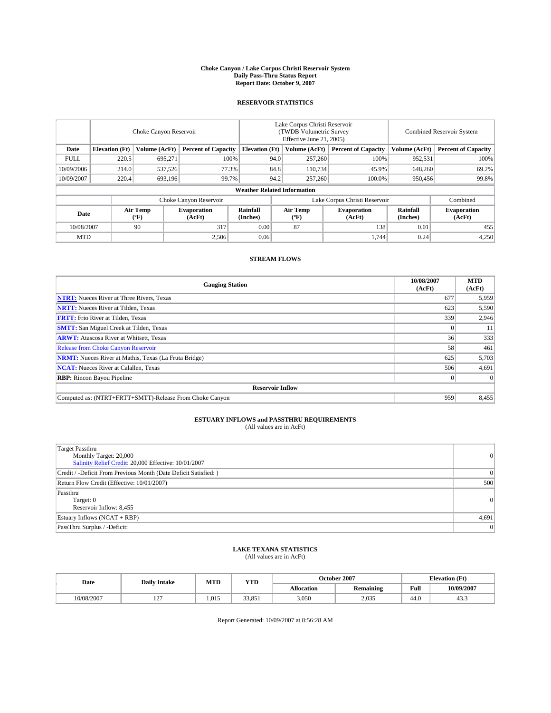#### **Choke Canyon / Lake Corpus Christi Reservoir System Daily Pass-Thru Status Report Report Date: October 9, 2007**

### **RESERVOIR STATISTICS**

|             | Choke Canyon Reservoir             |                  |                              |                       | Lake Corpus Christi Reservoir<br>(TWDB Volumetric Survey<br>Effective June 21, 2005) |                  |                               |                      | Combined Reservoir System    |  |  |
|-------------|------------------------------------|------------------|------------------------------|-----------------------|--------------------------------------------------------------------------------------|------------------|-------------------------------|----------------------|------------------------------|--|--|
| Date        | <b>Elevation</b> (Ft)              | Volume (AcFt)    | <b>Percent of Capacity</b>   | <b>Elevation</b> (Ft) |                                                                                      | Volume (AcFt)    | <b>Percent of Capacity</b>    | Volume (AcFt)        | <b>Percent of Capacity</b>   |  |  |
| <b>FULL</b> | 220.5                              | 695.271          | 100%                         |                       | 94.0                                                                                 | 257,260          | 100%                          | 952,531              | 100%                         |  |  |
| 10/09/2006  | 214.0                              | 537,526          | 77.3%                        |                       | 84.8                                                                                 | 110,734          | 45.9%                         | 648,260              | 69.2%                        |  |  |
| 10/09/2007  | 220.4                              | 693,196          | 99.7%                        |                       | 94.2                                                                                 | 257,260          | 100.0%                        | 950,456              | 99.8%                        |  |  |
|             | <b>Weather Related Information</b> |                  |                              |                       |                                                                                      |                  |                               |                      |                              |  |  |
|             |                                    |                  | Choke Canyon Reservoir       |                       |                                                                                      |                  | Lake Corpus Christi Reservoir |                      | Combined                     |  |  |
| Date        |                                    | Air Temp<br>(°F) | <b>Evaporation</b><br>(AcFt) | Rainfall<br>(Inches)  |                                                                                      | Air Temp<br>("F) | <b>Evaporation</b><br>(AcFt)  | Rainfall<br>(Inches) | <b>Evaporation</b><br>(AcFt) |  |  |
| 10/08/2007  |                                    | 90               | 317                          | 0.00                  |                                                                                      | 87               | 138                           | 0.01                 | 455                          |  |  |
| <b>MTD</b>  |                                    |                  | 2,506                        | 0.06                  |                                                                                      |                  | 1,744                         | 0.24                 | 4,250                        |  |  |

## **STREAM FLOWS**

| <b>Gauging Station</b>                                       | 10/08/2007<br>(AcFt) | <b>MTD</b><br>(AcFt) |
|--------------------------------------------------------------|----------------------|----------------------|
| <b>NTRT:</b> Nueces River at Three Rivers, Texas             | 677                  | 5,959                |
| <b>NRTT:</b> Nueces River at Tilden, Texas                   | 623                  | 5,590                |
| <b>FRTT:</b> Frio River at Tilden, Texas                     | 339                  | 2,946                |
| <b>SMTT:</b> San Miguel Creek at Tilden, Texas               |                      | 11                   |
| <b>ARWT:</b> Atascosa River at Whitsett, Texas               | 36                   | 333                  |
| <b>Release from Choke Canyon Reservoir</b>                   | 58                   | 461                  |
| <b>NRMT:</b> Nueces River at Mathis, Texas (La Fruta Bridge) | 625                  | 5,703                |
| <b>NCAT:</b> Nueces River at Calallen, Texas                 | 506                  | 4,691                |
| <b>RBP:</b> Rincon Bayou Pipeline                            |                      | $\Omega$             |
| <b>Reservoir Inflow</b>                                      |                      |                      |
| Computed as: (NTRT+FRTT+SMTT)-Release From Choke Canyon      | 959                  | 8,455                |

# **ESTUARY INFLOWS and PASSTHRU REQUIREMENTS**<br>(All values are in AcFt)

| <b>Target Passthru</b><br>Monthly Target: 20,000<br>Salinity Relief Credit: 20,000 Effective: 10/01/2007 | 0               |
|----------------------------------------------------------------------------------------------------------|-----------------|
| Credit / -Deficit From Previous Month (Date Deficit Satisfied: )                                         | $\vert 0 \vert$ |
| Return Flow Credit (Effective: 10/01/2007)                                                               | 500             |
| Passthru<br>Target: 0<br>Reservoir Inflow: 8,455                                                         | 0               |
| Estuary Inflows (NCAT + RBP)                                                                             | 4,691           |
| PassThru Surplus / -Deficit:                                                                             | 0               |

## **LAKE TEXANA STATISTICS** (All values are in AcFt)

| Date       | <b>Daily Intake</b>      | MTD   | <b>YTD</b> |                   | October 2007     | <b>Elevation</b> (Ft) |            |
|------------|--------------------------|-------|------------|-------------------|------------------|-----------------------|------------|
|            |                          |       |            | <b>Allocation</b> | <b>Remaining</b> | Full                  | 10/09/2007 |
| 10/08/2007 | $\sim$<br>$\overline{1}$ | 1.015 | 33,851     | 3,050             | 2.035            | 44.0                  | د          |

Report Generated: 10/09/2007 at 8:56:28 AM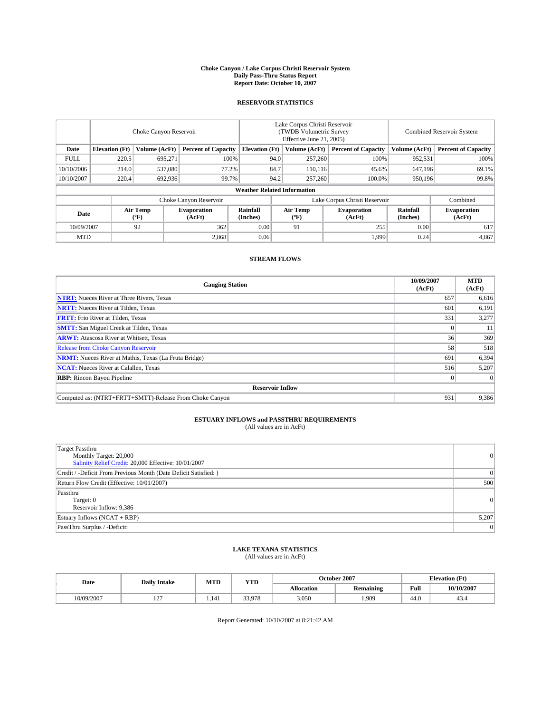#### **Choke Canyon / Lake Corpus Christi Reservoir System Daily Pass-Thru Status Report Report Date: October 10, 2007**

### **RESERVOIR STATISTICS**

|             | Choke Canyon Reservoir |                  |                              |                                    | Lake Corpus Christi Reservoir<br>(TWDB Volumetric Survey<br>Effective June 21, 2005) |                  |                              | Combined Reservoir System |                              |  |
|-------------|------------------------|------------------|------------------------------|------------------------------------|--------------------------------------------------------------------------------------|------------------|------------------------------|---------------------------|------------------------------|--|
| Date        | <b>Elevation</b> (Ft)  | Volume (AcFt)    | <b>Percent of Capacity</b>   | <b>Elevation</b> (Ft)              |                                                                                      | Volume (AcFt)    | <b>Percent of Capacity</b>   | Volume (AcFt)             | <b>Percent of Capacity</b>   |  |
| <b>FULL</b> | 220.5                  | 695.271          | 100%                         |                                    | 94.0                                                                                 | 257,260          | 100%                         | 952,531                   | 100%                         |  |
| 10/10/2006  | 214.0                  | 537,080          | 77.2%                        |                                    | 84.7                                                                                 | 110,116          | 45.6%                        | 647,196                   | 69.1%                        |  |
| 10/10/2007  | 220.4                  | 692,936          | 99.7%                        |                                    | 94.2                                                                                 | 257,260          | 100.0%                       | 950,196                   | 99.8%                        |  |
|             |                        |                  |                              | <b>Weather Related Information</b> |                                                                                      |                  |                              |                           |                              |  |
|             |                        |                  | Choke Canyon Reservoir       |                                    | Lake Corpus Christi Reservoir                                                        |                  |                              |                           | Combined                     |  |
| Date        |                        | Air Temp<br>(°F) | <b>Evaporation</b><br>(AcFt) | Rainfall<br>(Inches)               |                                                                                      | Air Temp<br>("F) | <b>Evaporation</b><br>(AcFt) | Rainfall<br>(Inches)      | <b>Evaporation</b><br>(AcFt) |  |
| 10/09/2007  |                        | 92               | 362                          | 0.00                               |                                                                                      | 91               | 255                          | 0.00                      | 617                          |  |
| <b>MTD</b>  |                        |                  | 2,868                        | 0.06                               |                                                                                      |                  | 1.999                        | 0.24                      | 4,867                        |  |

## **STREAM FLOWS**

| <b>Gauging Station</b>                                       | 10/09/2007<br>(AcFt) | <b>MTD</b><br>(AcFt) |
|--------------------------------------------------------------|----------------------|----------------------|
| <b>NTRT:</b> Nueces River at Three Rivers, Texas             | 657                  | 6,616                |
| <b>NRTT:</b> Nueces River at Tilden, Texas                   | 60 <sup>°</sup>      | 6,191                |
| <b>FRTT:</b> Frio River at Tilden, Texas                     | 331                  | 3,277                |
| <b>SMTT:</b> San Miguel Creek at Tilden, Texas               |                      | 11                   |
| <b>ARWT:</b> Atascosa River at Whitsett, Texas               | 36                   | 369                  |
| <b>Release from Choke Canyon Reservoir</b>                   | 58                   | 518                  |
| <b>NRMT:</b> Nueces River at Mathis, Texas (La Fruta Bridge) | 691                  | 6,394                |
| <b>NCAT:</b> Nueces River at Calallen, Texas                 | 516                  | 5,207                |
| <b>RBP:</b> Rincon Bayou Pipeline                            |                      | $\Omega$             |
| <b>Reservoir Inflow</b>                                      |                      |                      |
| Computed as: (NTRT+FRTT+SMTT)-Release From Choke Canyon      | 931                  | 9.386                |

## **ESTUARY INFLOWS and PASSTHRU REQUIREMENTS**<br>(All values are in AcFt)

| <b>Target Passthru</b><br>Monthly Target: 20,000<br>Salinity Relief Credit: 20,000 Effective: 10/01/2007 | 0     |
|----------------------------------------------------------------------------------------------------------|-------|
| Credit / -Deficit From Previous Month (Date Deficit Satisfied: )                                         | 0     |
| Return Flow Credit (Effective: 10/01/2007)                                                               | 500   |
| Passthru<br>Target: 0<br>Reservoir Inflow: 9,386                                                         | 0     |
| Estuary Inflows (NCAT + RBP)                                                                             | 5,207 |
| PassThru Surplus / -Deficit:                                                                             | 0     |

## **LAKE TEXANA STATISTICS** (All values are in AcFt)

| Date       | <b>Daily Intake</b>      | MTD   | <b>YTD</b> |                   | October 2007     | <b>Elevation</b> (Ft) |            |
|------------|--------------------------|-------|------------|-------------------|------------------|-----------------------|------------|
|            |                          |       |            | <b>Allocation</b> | <b>Remaining</b> | Full                  | 10/10/2007 |
| 10/09/2007 | $\sim$<br>$\overline{1}$ | 1.141 | 33.978     | 3,050             | .909             | 44.0                  | 49.4       |

Report Generated: 10/10/2007 at 8:21:42 AM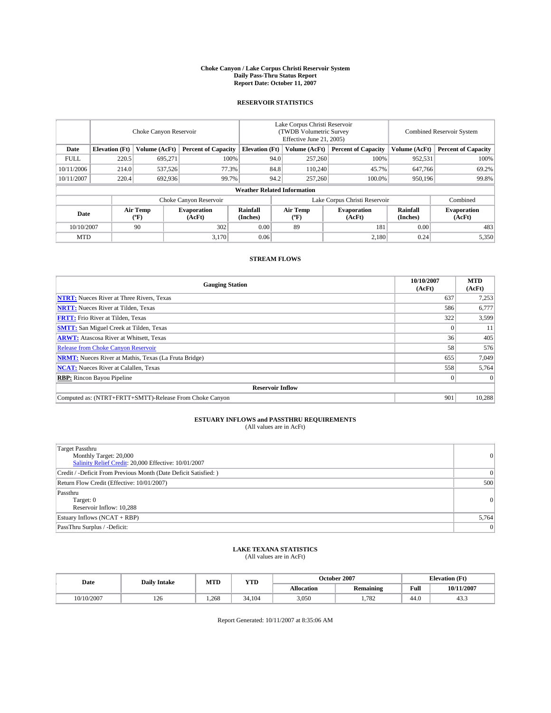#### **Choke Canyon / Lake Corpus Christi Reservoir System Daily Pass-Thru Status Report Report Date: October 11, 2007**

### **RESERVOIR STATISTICS**

|             | Choke Canyon Reservoir |                  |                              |                                    | Lake Corpus Christi Reservoir<br>(TWDB Volumetric Survey<br>Effective June 21, 2005) |                  |                               |                      | Combined Reservoir System    |  |  |
|-------------|------------------------|------------------|------------------------------|------------------------------------|--------------------------------------------------------------------------------------|------------------|-------------------------------|----------------------|------------------------------|--|--|
| Date        | <b>Elevation</b> (Ft)  | Volume (AcFt)    | <b>Percent of Capacity</b>   | <b>Elevation</b> (Ft)              |                                                                                      | Volume (AcFt)    | <b>Percent of Capacity</b>    | Volume (AcFt)        | <b>Percent of Capacity</b>   |  |  |
| <b>FULL</b> | 220.5                  | 695.271          | 100%                         |                                    | 94.0                                                                                 | 257,260          | 100%                          | 952,531              | 100%                         |  |  |
| 10/11/2006  | 214.0                  | 537,526          | 77.3%                        |                                    | 84.8                                                                                 | 110,240          | 45.7%                         | 647,766              | 69.2%                        |  |  |
| 10/11/2007  | 220.4                  | 692,936          | 99.7%                        |                                    | 94.2                                                                                 | 257,260          | 100.0%                        | 950.196              | 99.8%                        |  |  |
|             |                        |                  |                              | <b>Weather Related Information</b> |                                                                                      |                  |                               |                      |                              |  |  |
|             |                        |                  | Choke Canyon Reservoir       |                                    |                                                                                      |                  | Lake Corpus Christi Reservoir |                      | Combined                     |  |  |
| Date        |                        | Air Temp<br>(°F) | <b>Evaporation</b><br>(AcFt) | Rainfall<br>(Inches)               |                                                                                      | Air Temp<br>("F) | <b>Evaporation</b><br>(AcFt)  | Rainfall<br>(Inches) | <b>Evaporation</b><br>(AcFt) |  |  |
| 10/10/2007  |                        | 90               | 302                          | 0.00                               |                                                                                      | 89               | 181                           | 0.00                 | 483                          |  |  |
| <b>MTD</b>  |                        |                  | 3,170                        | 0.06                               |                                                                                      |                  | 2,180                         | 0.24                 | 5,350                        |  |  |

## **STREAM FLOWS**

| <b>Gauging Station</b>                                       | 10/10/2007<br>(AcFt) | <b>MTD</b><br>(AcFt) |
|--------------------------------------------------------------|----------------------|----------------------|
| <b>NTRT:</b> Nueces River at Three Rivers, Texas             | 637                  | 7,253                |
| <b>NRTT:</b> Nueces River at Tilden, Texas                   | 586                  | 6,777                |
| <b>FRTT:</b> Frio River at Tilden, Texas                     | 322                  | 3,599                |
| <b>SMTT:</b> San Miguel Creek at Tilden, Texas               |                      | 11                   |
| <b>ARWT:</b> Atascosa River at Whitsett, Texas               | 36                   | 405                  |
| <b>Release from Choke Canyon Reservoir</b>                   | 58                   | 576                  |
| <b>NRMT:</b> Nueces River at Mathis, Texas (La Fruta Bridge) | 655                  | 7,049                |
| <b>NCAT:</b> Nueces River at Calallen, Texas                 | 558                  | 5,764                |
| <b>RBP:</b> Rincon Bayou Pipeline                            |                      | $\Omega$             |
| <b>Reservoir Inflow</b>                                      |                      |                      |
| Computed as: (NTRT+FRTT+SMTT)-Release From Choke Canyon      | 901                  | 10,288               |

# **ESTUARY INFLOWS and PASSTHRU REQUIREMENTS**<br>(All values are in AcFt)

| <b>Target Passthru</b><br>Monthly Target: 20,000<br>Salinity Relief Credit: 20,000 Effective: 10/01/2007 | $\vert 0 \vert$ |
|----------------------------------------------------------------------------------------------------------|-----------------|
| Credit / -Deficit From Previous Month (Date Deficit Satisfied: )                                         | $\overline{0}$  |
| Return Flow Credit (Effective: 10/01/2007)                                                               | 500             |
| Passthru<br>Target: 0<br>Reservoir Inflow: 10,288                                                        | $\vert 0 \vert$ |
| Estuary Inflows (NCAT + RBP)                                                                             | 5,764           |
| PassThru Surplus / -Deficit:                                                                             | $\Omega$        |

## **LAKE TEXANA STATISTICS** (All values are in AcFt)

| Date      | <b>Daily Intake</b> | MTD   | <b>YTD</b> |                   | October 2007     | <b>Elevation (Ft)</b> |            |
|-----------|---------------------|-------|------------|-------------------|------------------|-----------------------|------------|
|           |                     |       |            | <b>Allocation</b> | <b>Remaining</b> | Full                  | 10/11/2007 |
| 0/10/2007 | 126                 | 1.268 | 34.104     | 3,050             | 1.782            | 44.0                  | د          |

Report Generated: 10/11/2007 at 8:35:06 AM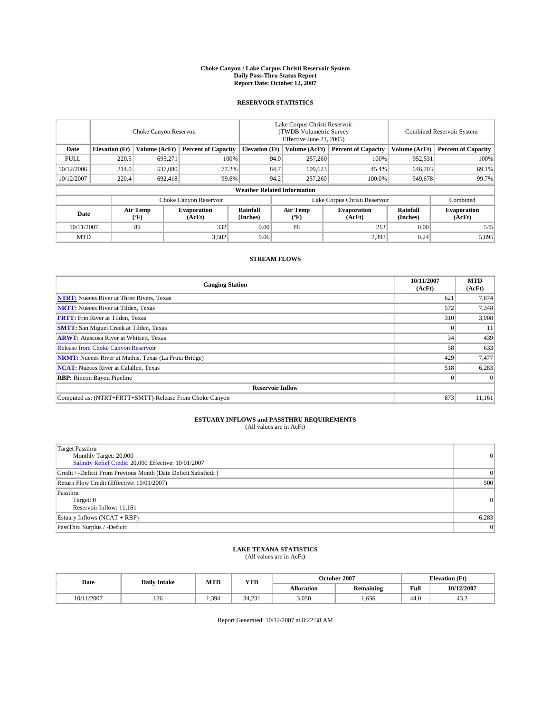#### **Choke Canyon / Lake Corpus Christi Reservoir System Daily Pass-Thru Status Report Report Date: October 12, 2007**

### **RESERVOIR STATISTICS**

|             | Choke Canyon Reservoir |                  |                              |                                    | Lake Corpus Christi Reservoir<br>(TWDB Volumetric Survey<br>Effective June 21, 2005) |                  |                               |                      | Combined Reservoir System    |  |  |
|-------------|------------------------|------------------|------------------------------|------------------------------------|--------------------------------------------------------------------------------------|------------------|-------------------------------|----------------------|------------------------------|--|--|
| Date        | <b>Elevation</b> (Ft)  | Volume (AcFt)    | <b>Percent of Capacity</b>   | <b>Elevation</b> (Ft)              |                                                                                      | Volume (AcFt)    | <b>Percent of Capacity</b>    | Volume (AcFt)        | <b>Percent of Capacity</b>   |  |  |
| <b>FULL</b> | 220.5                  | 695.271          | 100%                         |                                    | 94.0                                                                                 | 257,260          | 100%                          | 952,531              | 100%                         |  |  |
| 10/12/2006  | 214.0                  | 537,080          | 77.2%                        |                                    | 84.7                                                                                 | 109,623          | 45.4%                         | 646,703              | 69.1%                        |  |  |
| 10/12/2007  | 220.4                  | 692,418          | 99.6%                        |                                    | 94.2                                                                                 | 257,260          | 100.0%                        | 949,678              | 99.7%                        |  |  |
|             |                        |                  |                              | <b>Weather Related Information</b> |                                                                                      |                  |                               |                      |                              |  |  |
|             |                        |                  | Choke Canyon Reservoir       |                                    |                                                                                      |                  | Lake Corpus Christi Reservoir |                      | Combined                     |  |  |
| Date        |                        | Air Temp<br>(°F) | <b>Evaporation</b><br>(AcFt) | Rainfall<br>(Inches)               |                                                                                      | Air Temp<br>("F) | <b>Evaporation</b><br>(AcFt)  | Rainfall<br>(Inches) | <b>Evaporation</b><br>(AcFt) |  |  |
| 10/11/2007  |                        | 89               | 332                          | 0.00                               |                                                                                      | 88               | 213                           | 0.00                 | 545                          |  |  |
| <b>MTD</b>  |                        |                  | 3,502                        | 0.06                               |                                                                                      |                  | 2,393                         | 0.24                 | 5,895                        |  |  |

## **STREAM FLOWS**

| <b>Gauging Station</b>                                       | 10/11/2007<br>(AcFt) | <b>MTD</b><br>(AcFt) |
|--------------------------------------------------------------|----------------------|----------------------|
| <b>NTRT:</b> Nueces River at Three Rivers, Texas             | 621                  | 7,874                |
| <b>NRTT:</b> Nueces River at Tilden, Texas                   | 572                  | 7.348                |
| <b>FRTT:</b> Frio River at Tilden, Texas                     | 310                  | 3,908                |
| <b>SMTT:</b> San Miguel Creek at Tilden, Texas               |                      | 11                   |
| <b>ARWT:</b> Atascosa River at Whitsett, Texas               | 34                   | 439                  |
| <b>Release from Choke Canyon Reservoir</b>                   | 58                   | 633                  |
| <b>NRMT:</b> Nueces River at Mathis, Texas (La Fruta Bridge) | 429                  | 7,477                |
| <b>NCAT:</b> Nueces River at Calallen, Texas                 | 518                  | 6,283                |
| <b>RBP:</b> Rincon Bayou Pipeline                            |                      | $\Omega$             |
| <b>Reservoir Inflow</b>                                      |                      |                      |
| Computed as: (NTRT+FRTT+SMTT)-Release From Choke Canyon      | 873                  | 11,161               |

# **ESTUARY INFLOWS and PASSTHRU REQUIREMENTS**<br>(All values are in AcFt)

| <b>Target Passthru</b><br>Monthly Target: 20,000<br>Salinity Relief Credit: 20,000 Effective: 10/01/2007 | $\vert 0 \vert$ |
|----------------------------------------------------------------------------------------------------------|-----------------|
| Credit / -Deficit From Previous Month (Date Deficit Satisfied: )                                         | $\overline{0}$  |
| Return Flow Credit (Effective: 10/01/2007)                                                               | 500             |
| Passthru<br>Target: 0<br>Reservoir Inflow: 11,161                                                        | $\vert 0 \vert$ |
| Estuary Inflows (NCAT + RBP)                                                                             | 6,283           |
| PassThru Surplus / -Deficit:                                                                             | $\Omega$        |

## **LAKE TEXANA STATISTICS** (All values are in AcFt)

| Date       | <b>Daily Intake</b> | MTD   | <b>YTD</b> |                   | October 2007     | <b>Elevation (Ft)</b> |            |
|------------|---------------------|-------|------------|-------------------|------------------|-----------------------|------------|
|            |                     |       |            | <b>Allocation</b> | <b>Remaining</b> | Full                  | 10/12/2007 |
| 10/11/2007 | 126                 | 1.394 | 34.231     | 3,050             | .656             | 44.0                  | ے. ر       |

Report Generated: 10/12/2007 at 8:22:38 AM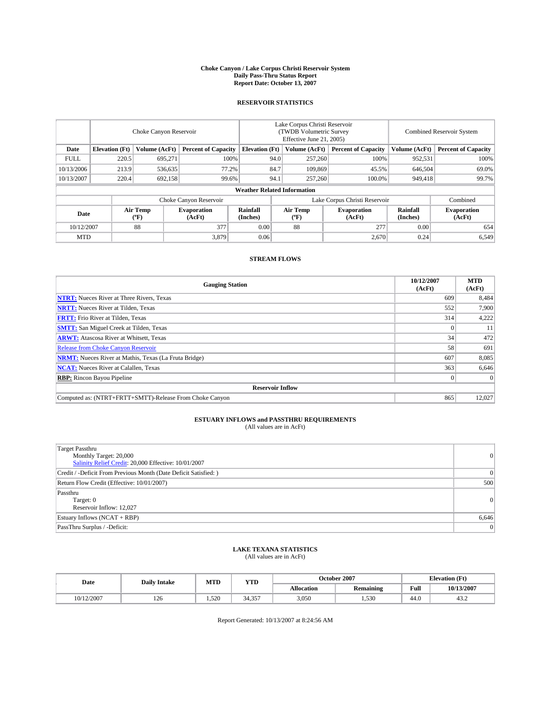#### **Choke Canyon / Lake Corpus Christi Reservoir System Daily Pass-Thru Status Report Report Date: October 13, 2007**

### **RESERVOIR STATISTICS**

|             | Choke Canyon Reservoir             |                  |                              |                       | Lake Corpus Christi Reservoir<br>(TWDB Volumetric Survey<br>Effective June 21, 2005) |                                           |                              | Combined Reservoir System |                              |  |
|-------------|------------------------------------|------------------|------------------------------|-----------------------|--------------------------------------------------------------------------------------|-------------------------------------------|------------------------------|---------------------------|------------------------------|--|
| Date        | <b>Elevation</b> (Ft)              | Volume (AcFt)    | <b>Percent of Capacity</b>   | <b>Elevation</b> (Ft) |                                                                                      | Volume (AcFt)                             | <b>Percent of Capacity</b>   | Volume (AcFt)             | <b>Percent of Capacity</b>   |  |
| <b>FULL</b> | 220.5                              | 695.271          | 100%                         |                       | 94.0                                                                                 | 257,260                                   | 100%                         | 952,531                   | 100%                         |  |
| 10/13/2006  | 213.9                              | 536,635          | 77.2%                        |                       | 84.7                                                                                 | 109.869                                   | 45.5%                        | 646,504                   | 69.0%                        |  |
| 10/13/2007  | 220.4                              | 692,158          | 99.6%                        |                       | 94.1                                                                                 | 257,260                                   | 100.0%                       | 949,418                   | 99.7%                        |  |
|             | <b>Weather Related Information</b> |                  |                              |                       |                                                                                      |                                           |                              |                           |                              |  |
|             |                                    |                  | Choke Canyon Reservoir       |                       | Lake Corpus Christi Reservoir                                                        |                                           |                              |                           | Combined                     |  |
| Date        |                                    | Air Temp<br>(°F) | <b>Evaporation</b><br>(AcFt) | Rainfall<br>(Inches)  |                                                                                      | Air Temp<br>$({}^{\mathrm{o}}\mathrm{F})$ | <b>Evaporation</b><br>(AcFt) | Rainfall<br>(Inches)      | <b>Evaporation</b><br>(AcFt) |  |
| 10/12/2007  |                                    | 88               | 377                          | 0.00                  |                                                                                      | 88                                        | 277                          | 0.00                      | 654                          |  |
| <b>MTD</b>  |                                    |                  | 3,879                        | 0.06                  |                                                                                      |                                           | 2,670                        | 0.24                      | 6,549                        |  |

## **STREAM FLOWS**

| <b>Gauging Station</b>                                       | 10/12/2007<br>(AcFt) | <b>MTD</b><br>(AcFt) |
|--------------------------------------------------------------|----------------------|----------------------|
| <b>NTRT:</b> Nueces River at Three Rivers, Texas             | 609                  | 8,484                |
| <b>NRTT:</b> Nueces River at Tilden, Texas                   | 552                  | 7.900                |
| <b>FRTT:</b> Frio River at Tilden, Texas                     | 314                  | 4,222                |
| <b>SMTT:</b> San Miguel Creek at Tilden, Texas               |                      | 11                   |
| <b>ARWT:</b> Atascosa River at Whitsett, Texas               | 34                   | 472                  |
| <b>Release from Choke Canyon Reservoir</b>                   | 58                   | 691                  |
| <b>NRMT:</b> Nueces River at Mathis, Texas (La Fruta Bridge) | 607                  | 8,085                |
| <b>NCAT:</b> Nueces River at Calallen, Texas                 | 363                  | 6,646                |
| <b>RBP:</b> Rincon Bayou Pipeline                            |                      | $\Omega$             |
| <b>Reservoir Inflow</b>                                      |                      |                      |
| Computed as: (NTRT+FRTT+SMTT)-Release From Choke Canyon      | 865                  | 12,027               |

## **ESTUARY INFLOWS and PASSTHRU REQUIREMENTS**<br>(All values are in AcFt)

| <b>Target Passthru</b><br>Monthly Target: 20,000<br>Salinity Relief Credit: 20,000 Effective: 10/01/2007 | 0     |
|----------------------------------------------------------------------------------------------------------|-------|
| Credit / -Deficit From Previous Month (Date Deficit Satisfied: )                                         | 0     |
| Return Flow Credit (Effective: 10/01/2007)                                                               | 500   |
| Passthru<br>Target: 0<br>Reservoir Inflow: 12,027                                                        | 0     |
| Estuary Inflows (NCAT + RBP)                                                                             | 6,646 |
| PassThru Surplus / -Deficit:                                                                             | 0     |

## **LAKE TEXANA STATISTICS** (All values are in AcFt)

| Date       | <b>Daily Intake</b> | MTD   | <b>YTD</b>                    |                   | October 2007     |      | <b>Elevation (Ft)</b> |
|------------|---------------------|-------|-------------------------------|-------------------|------------------|------|-----------------------|
|            |                     |       |                               | <b>Allocation</b> | <b>Remaining</b> | Full | 10/13/2007            |
| 10/12/2007 | 126                 | 1.520 | $\sim$ $\sim$ $\sim$<br>34.35 | 3,050             | 1.530            | 44.0 | ے. ر+                 |

Report Generated: 10/13/2007 at 8:24:56 AM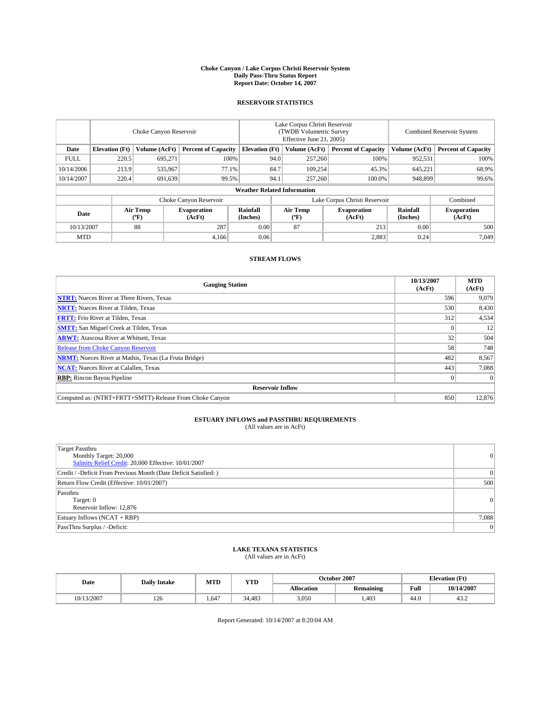#### **Choke Canyon / Lake Corpus Christi Reservoir System Daily Pass-Thru Status Report Report Date: October 14, 2007**

### **RESERVOIR STATISTICS**

|             | Choke Canyon Reservoir             |                  |                              |                       | Lake Corpus Christi Reservoir<br>(TWDB Volumetric Survey<br>Effective June 21, 2005) |                  |                               |                      | Combined Reservoir System    |  |  |
|-------------|------------------------------------|------------------|------------------------------|-----------------------|--------------------------------------------------------------------------------------|------------------|-------------------------------|----------------------|------------------------------|--|--|
| Date        | <b>Elevation</b> (Ft)              | Volume (AcFt)    | <b>Percent of Capacity</b>   | <b>Elevation</b> (Ft) |                                                                                      | Volume (AcFt)    | <b>Percent of Capacity</b>    | Volume (AcFt)        | <b>Percent of Capacity</b>   |  |  |
| <b>FULL</b> | 220.5                              | 695.271          | 100%                         |                       | 94.0                                                                                 | 257,260          | 100%                          | 952,531              | 100%                         |  |  |
| 10/14/2006  | 213.9                              | 535,967          | 77.1%                        |                       | 84.7                                                                                 | 109,254          | 45.3%                         | 645,221              | 68.9%                        |  |  |
| 10/14/2007  | 220.4                              | 691,639          | 99.5%                        |                       | 94.1                                                                                 | 257,260          | 100.0%                        | 948,899              | 99.6%                        |  |  |
|             | <b>Weather Related Information</b> |                  |                              |                       |                                                                                      |                  |                               |                      |                              |  |  |
|             |                                    |                  | Choke Canyon Reservoir       |                       |                                                                                      |                  | Lake Corpus Christi Reservoir |                      | Combined                     |  |  |
| Date        |                                    | Air Temp<br>(°F) | <b>Evaporation</b><br>(AcFt) | Rainfall<br>(Inches)  |                                                                                      | Air Temp<br>("F) | <b>Evaporation</b><br>(AcFt)  | Rainfall<br>(Inches) | <b>Evaporation</b><br>(AcFt) |  |  |
| 10/13/2007  |                                    | 88               | 287                          | 0.00                  |                                                                                      | 87               | 213                           | 0.00                 | 500                          |  |  |
| <b>MTD</b>  |                                    |                  | 4,166                        | 0.06                  |                                                                                      |                  | 2,883                         | 0.24                 | 7,049                        |  |  |

## **STREAM FLOWS**

| <b>Gauging Station</b>                                       | 10/13/2007<br>(AcFt) | <b>MTD</b><br>(AcFt) |
|--------------------------------------------------------------|----------------------|----------------------|
| <b>NTRT:</b> Nueces River at Three Rivers, Texas             | 596                  | 9.079                |
| <b>NRTT:</b> Nueces River at Tilden, Texas                   | 530                  | 8,430                |
| <b>FRTT:</b> Frio River at Tilden, Texas                     | 312                  | 4,534                |
| <b>SMTT:</b> San Miguel Creek at Tilden, Texas               |                      | 12                   |
| <b>ARWT:</b> Atascosa River at Whitsett, Texas               | 32                   | 504                  |
| <b>Release from Choke Canyon Reservoir</b>                   | 58                   | 748                  |
| <b>NRMT:</b> Nueces River at Mathis, Texas (La Fruta Bridge) | 482                  | 8,567                |
| <b>NCAT:</b> Nueces River at Calallen, Texas                 | 443                  | 7,088                |
| <b>RBP:</b> Rincon Bayou Pipeline                            |                      | $\Omega$             |
| <b>Reservoir Inflow</b>                                      |                      |                      |
| Computed as: (NTRT+FRTT+SMTT)-Release From Choke Canyon      | 850                  | 12,876               |

# **ESTUARY INFLOWS and PASSTHRU REQUIREMENTS**<br>(All values are in AcFt)

| <b>Target Passthru</b><br>Monthly Target: 20,000<br>Salinity Relief Credit: 20,000 Effective: 10/01/2007 | $\vert 0 \vert$ |
|----------------------------------------------------------------------------------------------------------|-----------------|
| Credit / -Deficit From Previous Month (Date Deficit Satisfied: )                                         | $\Omega$        |
| Return Flow Credit (Effective: 10/01/2007)                                                               | 500             |
| Passthru<br>Target: 0<br>Reservoir Inflow: 12,876                                                        | $\vert 0 \vert$ |
| Estuary Inflows (NCAT + RBP)                                                                             | 7,088           |
| PassThru Surplus / -Deficit:                                                                             | $\Omega$        |

# **LAKE TEXANA STATISTICS** (All values are in AcFt)

| Date       | <b>Daily Intake</b> | MTD   | <b>YTD</b> |                   | October 2007     | <b>Elevation (Ft)</b> |            |
|------------|---------------------|-------|------------|-------------------|------------------|-----------------------|------------|
|            |                     |       |            | <b>Allocation</b> | <b>Remaining</b> | Full                  | 10/14/2007 |
| 10/13/2007 | 126                 | 1.647 | 34.483     | 3.050             | .403             | 44.0                  | ے. ر+      |

Report Generated: 10/14/2007 at 8:20:04 AM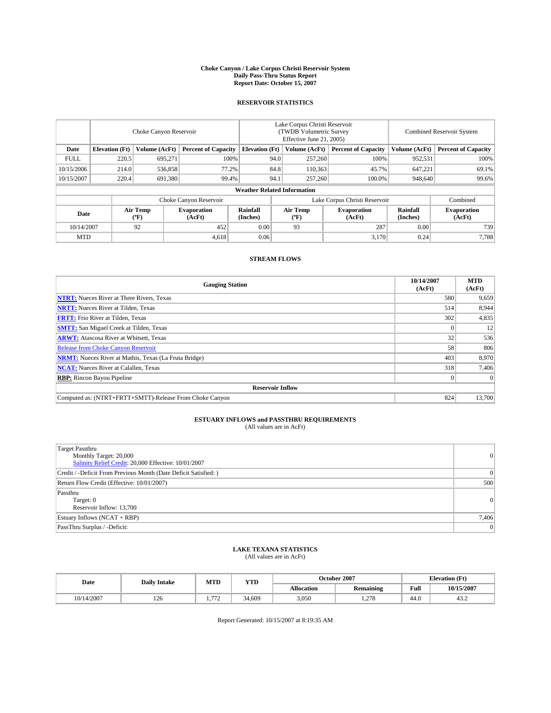#### **Choke Canyon / Lake Corpus Christi Reservoir System Daily Pass-Thru Status Report Report Date: October 15, 2007**

### **RESERVOIR STATISTICS**

|             | Choke Canyon Reservoir |                  |                              |                                    | Lake Corpus Christi Reservoir<br>(TWDB Volumetric Survey<br>Effective June 21, 2005) |                                           |                              | Combined Reservoir System |                              |  |
|-------------|------------------------|------------------|------------------------------|------------------------------------|--------------------------------------------------------------------------------------|-------------------------------------------|------------------------------|---------------------------|------------------------------|--|
| Date        | <b>Elevation</b> (Ft)  | Volume (AcFt)    | <b>Percent of Capacity</b>   | <b>Elevation</b> (Ft)              |                                                                                      | Volume (AcFt)                             | <b>Percent of Capacity</b>   | Volume (AcFt)             | <b>Percent of Capacity</b>   |  |
| <b>FULL</b> | 220.5                  | 695.271          | 100%                         |                                    | 94.0                                                                                 | 257,260                                   | 100%                         | 952,531                   | 100%                         |  |
| 10/15/2006  | 214.0                  | 536,858          | 77.2%                        |                                    | 84.8                                                                                 | 110,363                                   | 45.7%                        | 647,221                   | 69.1%                        |  |
| 10/15/2007  | 220.4                  | 691,380          | 99.4%                        |                                    | 94.1                                                                                 | 257,260                                   | 100.0%                       | 948,640                   | 99.6%                        |  |
|             |                        |                  |                              | <b>Weather Related Information</b> |                                                                                      |                                           |                              |                           |                              |  |
|             |                        |                  |                              | Lake Corpus Christi Reservoir      |                                                                                      | Combined                                  |                              |                           |                              |  |
| Date        |                        | Air Temp<br>(°F) | <b>Evaporation</b><br>(AcFt) | Rainfall<br>(Inches)               |                                                                                      | Air Temp<br>$({}^{\mathrm{o}}\mathrm{F})$ | <b>Evaporation</b><br>(AcFt) | Rainfall<br>(Inches)      | <b>Evaporation</b><br>(AcFt) |  |
| 10/14/2007  |                        | 92               | 452                          | 0.00                               |                                                                                      | 93                                        | 287                          | 0.00                      | 739                          |  |
| <b>MTD</b>  |                        |                  | 4,618                        | 0.06                               |                                                                                      |                                           | 3,170                        | 0.24                      | 7,788                        |  |

## **STREAM FLOWS**

| <b>Gauging Station</b>                                       | 10/14/2007<br>(AcFt) | <b>MTD</b><br>(AcFt) |
|--------------------------------------------------------------|----------------------|----------------------|
| <b>NTRT:</b> Nueces River at Three Rivers, Texas             | 580                  | 9,659                |
| <b>NRTT:</b> Nueces River at Tilden, Texas                   | 514                  | 8,944                |
| <b>FRTT:</b> Frio River at Tilden, Texas                     | 302                  | 4,835                |
| <b>SMTT:</b> San Miguel Creek at Tilden, Texas               |                      | 12                   |
| <b>ARWT:</b> Atascosa River at Whitsett, Texas               | 32                   | 536                  |
| <b>Release from Choke Canyon Reservoir</b>                   | 58                   | 806                  |
| <b>NRMT:</b> Nueces River at Mathis, Texas (La Fruta Bridge) | 403                  | 8,970                |
| <b>NCAT:</b> Nueces River at Calallen, Texas                 | 318                  | 7,406                |
| <b>RBP:</b> Rincon Bayou Pipeline                            |                      | $\Omega$             |
| <b>Reservoir Inflow</b>                                      |                      |                      |
| Computed as: (NTRT+FRTT+SMTT)-Release From Choke Canyon      | 824                  | 13.700               |

## **ESTUARY INFLOWS and PASSTHRU REQUIREMENTS**<br>(All values are in AcFt)

| <b>Target Passthru</b><br>Monthly Target: 20,000<br>Salinity Relief Credit: 20,000 Effective: 10/01/2007 | 0     |
|----------------------------------------------------------------------------------------------------------|-------|
| Credit / -Deficit From Previous Month (Date Deficit Satisfied: )                                         | 0     |
| Return Flow Credit (Effective: 10/01/2007)                                                               | 500   |
| Passthru<br>Target: 0<br>Reservoir Inflow: 13,700                                                        | 0     |
| Estuary Inflows (NCAT + RBP)                                                                             | 7,406 |
| PassThru Surplus / -Deficit:                                                                             | 0     |

## **LAKE TEXANA STATISTICS** (All values are in AcFt)

| Date       | <b>Daily Intake</b> | MTD                   | YTD    |            | October 2007     | <b>Elevation</b> (Ft) |            |
|------------|---------------------|-----------------------|--------|------------|------------------|-----------------------|------------|
|            |                     |                       |        | Allocation | <b>Remaining</b> | Full                  | 10/15/2007 |
| 10/14/2007 | 126                 | 77'<br>$\overline{ }$ | 34.609 | 3,050      | 1.278            | 44.0                  | ے. ر       |

Report Generated: 10/15/2007 at 8:19:35 AM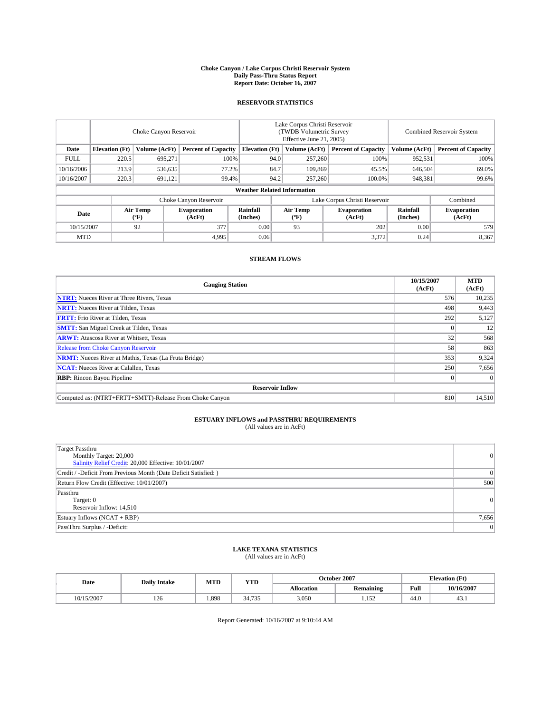#### **Choke Canyon / Lake Corpus Christi Reservoir System Daily Pass-Thru Status Report Report Date: October 16, 2007**

### **RESERVOIR STATISTICS**

|             | Choke Canyon Reservoir             |                               |                              |                       | Lake Corpus Christi Reservoir<br>(TWDB Volumetric Survey<br>Effective June 21, 2005) |                                           |                              | Combined Reservoir System |                              |  |
|-------------|------------------------------------|-------------------------------|------------------------------|-----------------------|--------------------------------------------------------------------------------------|-------------------------------------------|------------------------------|---------------------------|------------------------------|--|
| Date        | <b>Elevation</b> (Ft)              | Volume (AcFt)                 | <b>Percent of Capacity</b>   | <b>Elevation</b> (Ft) |                                                                                      | Volume (AcFt)                             | <b>Percent of Capacity</b>   | Volume (AcFt)             | <b>Percent of Capacity</b>   |  |
| <b>FULL</b> | 220.5                              | 695.271                       | 100%                         |                       | 94.0                                                                                 | 257,260                                   | 100%                         | 952,531                   | 100%                         |  |
| 10/16/2006  | 213.9                              | 536,635                       | 77.2%                        |                       | 84.7                                                                                 | 109.869                                   | 45.5%                        | 646,504                   | 69.0%                        |  |
| 10/16/2007  | 220.3                              | 691,121                       | 99.4%                        |                       | 94.2                                                                                 | 257,260                                   | 100.0%                       | 948,381                   | 99.6%                        |  |
|             | <b>Weather Related Information</b> |                               |                              |                       |                                                                                      |                                           |                              |                           |                              |  |
|             |                                    | Lake Corpus Christi Reservoir |                              |                       |                                                                                      | Combined                                  |                              |                           |                              |  |
| Date        |                                    | Air Temp<br>(°F)              | <b>Evaporation</b><br>(AcFt) | Rainfall<br>(Inches)  |                                                                                      | Air Temp<br>$({}^{\mathrm{o}}\mathrm{F})$ | <b>Evaporation</b><br>(AcFt) | Rainfall<br>(Inches)      | <b>Evaporation</b><br>(AcFt) |  |
| 10/15/2007  |                                    | 92                            | 377                          | 0.00                  |                                                                                      | 93                                        | 202                          | 0.00                      | 579                          |  |
| <b>MTD</b>  |                                    |                               | 4,995                        | 0.06                  |                                                                                      |                                           | 3,372                        | 0.24                      | 8,367                        |  |

## **STREAM FLOWS**

| <b>Gauging Station</b>                                       | 10/15/2007<br>(AcFt) | <b>MTD</b><br>(AcFt) |
|--------------------------------------------------------------|----------------------|----------------------|
| <b>NTRT:</b> Nueces River at Three Rivers, Texas             | 576                  | 10,235               |
| <b>NRTT:</b> Nueces River at Tilden, Texas                   | 498                  | 9,443                |
| <b>FRTT:</b> Frio River at Tilden, Texas                     | 292                  | 5,127                |
| <b>SMTT:</b> San Miguel Creek at Tilden, Texas               |                      | 12                   |
| <b>ARWT:</b> Atascosa River at Whitsett, Texas               | 32                   | 568                  |
| <b>Release from Choke Canyon Reservoir</b>                   | 58                   | 863                  |
| <b>NRMT:</b> Nueces River at Mathis, Texas (La Fruta Bridge) | 353                  | 9,324                |
| <b>NCAT:</b> Nueces River at Calallen, Texas                 | 250                  | 7,656                |
| <b>RBP:</b> Rincon Bayou Pipeline                            |                      | $\Omega$             |
| <b>Reservoir Inflow</b>                                      |                      |                      |
| Computed as: (NTRT+FRTT+SMTT)-Release From Choke Canyon      | 810                  | 14.510               |

## **ESTUARY INFLOWS and PASSTHRU REQUIREMENTS**<br>(All values are in AcFt)

| <b>Target Passthru</b><br>Monthly Target: 20,000<br>Salinity Relief Credit: 20,000 Effective: 10/01/2007 | 0     |
|----------------------------------------------------------------------------------------------------------|-------|
| Credit / -Deficit From Previous Month (Date Deficit Satisfied: )                                         | 0     |
| Return Flow Credit (Effective: 10/01/2007)                                                               | 500   |
| Passthru<br>Target: 0<br>Reservoir Inflow: 14,510                                                        | 0     |
| Estuary Inflows (NCAT + RBP)                                                                             | 7,656 |
| PassThru Surplus / -Deficit:                                                                             | 0     |

## **LAKE TEXANA STATISTICS** (All values are in AcFt)

| Date       | <b>Daily Intake</b> | MTD  | <b>YTD</b> |                   | October 2007     |      | <b>Elevation (Ft)</b> |
|------------|---------------------|------|------------|-------------------|------------------|------|-----------------------|
|            |                     |      |            | <b>Allocation</b> | <b>Remaining</b> | Full | 10/16/2007            |
| 10/15/2007 | 126                 | .898 | 34.735     | 3,050             | 152<br>.         | 44.0 | ر.ر+                  |

Report Generated: 10/16/2007 at 9:10:44 AM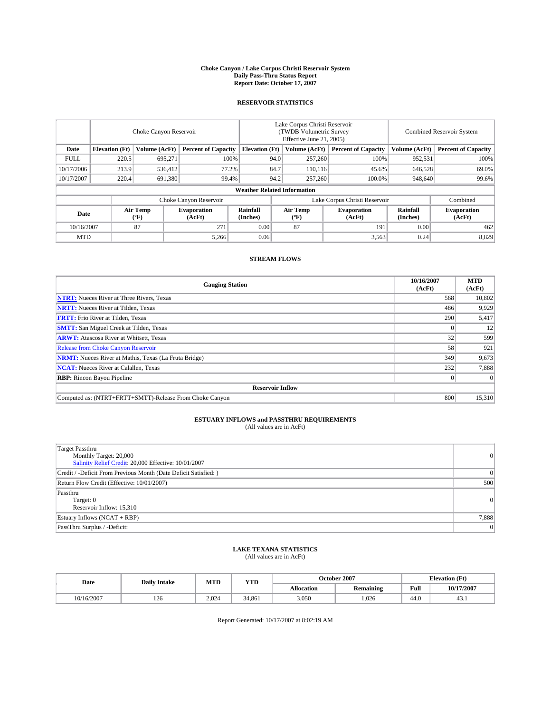#### **Choke Canyon / Lake Corpus Christi Reservoir System Daily Pass-Thru Status Report Report Date: October 17, 2007**

### **RESERVOIR STATISTICS**

|             | Choke Canyon Reservoir             |                  |                              |                       | Lake Corpus Christi Reservoir<br>(TWDB Volumetric Survey<br>Effective June 21, 2005) |                  |                               |                      | Combined Reservoir System    |  |  |
|-------------|------------------------------------|------------------|------------------------------|-----------------------|--------------------------------------------------------------------------------------|------------------|-------------------------------|----------------------|------------------------------|--|--|
| Date        | <b>Elevation</b> (Ft)              | Volume (AcFt)    | <b>Percent of Capacity</b>   | <b>Elevation</b> (Ft) |                                                                                      | Volume (AcFt)    | <b>Percent of Capacity</b>    | Volume (AcFt)        | <b>Percent of Capacity</b>   |  |  |
| <b>FULL</b> | 220.5                              | 695.271          | 100%                         |                       | 94.0                                                                                 | 257,260          | 100%                          | 952,531              | 100%                         |  |  |
| 10/17/2006  | 213.9                              | 536,412          | 77.2%                        |                       | 84.7                                                                                 | 110,116          | 45.6%                         | 646,528              | 69.0%                        |  |  |
| 10/17/2007  | 220.4                              | 691,380          | 99.4%                        |                       | 94.2                                                                                 | 257,260          | 100.0%                        | 948,640              | 99.6%                        |  |  |
|             | <b>Weather Related Information</b> |                  |                              |                       |                                                                                      |                  |                               |                      |                              |  |  |
|             |                                    |                  | Choke Canyon Reservoir       |                       |                                                                                      |                  | Lake Corpus Christi Reservoir |                      | Combined                     |  |  |
| Date        |                                    | Air Temp<br>(°F) | <b>Evaporation</b><br>(AcFt) | Rainfall<br>(Inches)  |                                                                                      | Air Temp<br>("F) | <b>Evaporation</b><br>(AcFt)  | Rainfall<br>(Inches) | <b>Evaporation</b><br>(AcFt) |  |  |
| 10/16/2007  |                                    | 87               | 271                          | 0.00                  |                                                                                      | 87               | 191                           | 0.00                 | 462                          |  |  |
| <b>MTD</b>  |                                    |                  | 5,266                        | 0.06                  |                                                                                      |                  | 3,563                         | 0.24                 | 8,829                        |  |  |

## **STREAM FLOWS**

| <b>Gauging Station</b>                                       | 10/16/2007<br>(AcFt) | <b>MTD</b><br>(AcFt) |
|--------------------------------------------------------------|----------------------|----------------------|
| <b>NTRT:</b> Nueces River at Three Rivers, Texas             | 568                  | 10,802               |
| <b>NRTT:</b> Nueces River at Tilden, Texas                   | 486                  | 9.929                |
| <b>FRTT:</b> Frio River at Tilden, Texas                     | 290                  | 5,417                |
| <b>SMTT:</b> San Miguel Creek at Tilden, Texas               |                      | 12                   |
| <b>ARWT:</b> Atascosa River at Whitsett, Texas               | 32                   | 599                  |
| <b>Release from Choke Canyon Reservoir</b>                   | 58                   | 921                  |
| <b>NRMT:</b> Nueces River at Mathis, Texas (La Fruta Bridge) | 349                  | 9,673                |
| <b>NCAT:</b> Nueces River at Calallen, Texas                 | 232                  | 7,888                |
| <b>RBP:</b> Rincon Bayou Pipeline                            |                      | $\Omega$             |
| <b>Reservoir Inflow</b>                                      |                      |                      |
| Computed as: (NTRT+FRTT+SMTT)-Release From Choke Canyon      | 800                  | 15,310               |

# **ESTUARY INFLOWS and PASSTHRU REQUIREMENTS**<br>(All values are in AcFt)

| Target Passthru<br>Monthly Target: 20,000<br>Salinity Relief Credit: 20,000 Effective: 10/01/2007 | $\overline{0}$  |
|---------------------------------------------------------------------------------------------------|-----------------|
| Credit / -Deficit From Previous Month (Date Deficit Satisfied: )                                  | $\Omega$        |
| Return Flow Credit (Effective: 10/01/2007)                                                        | 500             |
| Passthru<br>Target: 0<br>Reservoir Inflow: 15,310                                                 | $\vert 0 \vert$ |
| Estuary Inflows (NCAT + RBP)                                                                      | 7,888           |
| PassThru Surplus / -Deficit:                                                                      | $\overline{0}$  |

# **LAKE TEXANA STATISTICS** (All values are in AcFt)

| Date       | <b>Daily Intake</b> | MTD   | <b>YTD</b> |                   | October 2007     | <b>Elevation</b> (Ft) |            |
|------------|---------------------|-------|------------|-------------------|------------------|-----------------------|------------|
|            |                     |       |            | <b>Allocation</b> | <b>Remaining</b> | Full                  | 10/17/2007 |
| 10/16/2007 | 126                 | 2.024 | 34.861     | 3,050             | .026             | 44.0                  | 49.I       |

Report Generated: 10/17/2007 at 8:02:19 AM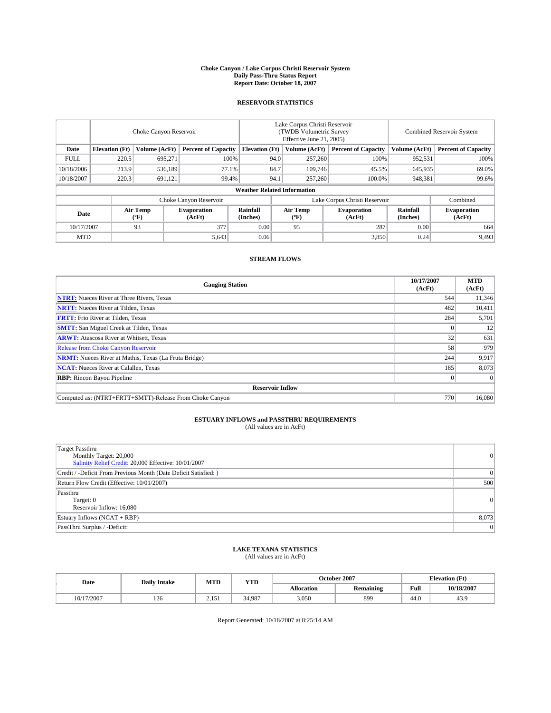#### **Choke Canyon / Lake Corpus Christi Reservoir System Daily Pass-Thru Status Report Report Date: October 18, 2007**

### **RESERVOIR STATISTICS**

|             | Choke Canyon Reservoir             |                               |                              |                       | Lake Corpus Christi Reservoir<br>(TWDB Volumetric Survey<br>Effective June 21, 2005) |                                           |                              | Combined Reservoir System |                              |  |
|-------------|------------------------------------|-------------------------------|------------------------------|-----------------------|--------------------------------------------------------------------------------------|-------------------------------------------|------------------------------|---------------------------|------------------------------|--|
| Date        | <b>Elevation</b> (Ft)              | Volume (AcFt)                 | <b>Percent of Capacity</b>   | <b>Elevation</b> (Ft) |                                                                                      | Volume (AcFt)                             | <b>Percent of Capacity</b>   | Volume (AcFt)             | <b>Percent of Capacity</b>   |  |
| <b>FULL</b> | 220.5                              | 695.271                       | 100%                         |                       | 94.0                                                                                 | 257,260                                   | 100%                         | 952,531                   | 100%                         |  |
| 10/18/2006  | 213.9                              | 536.189                       | 77.1%                        |                       | 84.7                                                                                 | 109.746                                   | 45.5%                        | 645,935                   | 69.0%                        |  |
| 10/18/2007  | 220.3                              | 691,121                       | 99.4%                        |                       | 94.1                                                                                 | 257,260                                   | 100.0%                       | 948,381                   | 99.6%                        |  |
|             | <b>Weather Related Information</b> |                               |                              |                       |                                                                                      |                                           |                              |                           |                              |  |
|             |                                    | Lake Corpus Christi Reservoir |                              |                       |                                                                                      | Combined                                  |                              |                           |                              |  |
| Date        |                                    | Air Temp<br>(°F)              | <b>Evaporation</b><br>(AcFt) | Rainfall<br>(Inches)  |                                                                                      | Air Temp<br>$({}^{\mathrm{o}}\mathrm{F})$ | <b>Evaporation</b><br>(AcFt) | Rainfall<br>(Inches)      | <b>Evaporation</b><br>(AcFt) |  |
| 10/17/2007  |                                    | 93                            | 377                          | 0.00                  |                                                                                      | 95                                        | 287                          | 0.00                      | 664                          |  |
| <b>MTD</b>  |                                    |                               | 5,643                        | 0.06                  |                                                                                      |                                           | 3,850                        | 0.24                      | 9,493                        |  |

### **STREAM FLOWS**

| <b>Gauging Station</b>                                       | 10/17/2007<br>(AcFt) | <b>MTD</b><br>(AcFt) |
|--------------------------------------------------------------|----------------------|----------------------|
| <b>NTRT:</b> Nueces River at Three Rivers, Texas             | 544                  | 11,346               |
| <b>NRTT:</b> Nueces River at Tilden, Texas                   | 482                  | 10,411               |
| <b>FRTT:</b> Frio River at Tilden, Texas                     | 284                  | 5,701                |
| <b>SMTT:</b> San Miguel Creek at Tilden, Texas               |                      | 12                   |
| <b>ARWT:</b> Atascosa River at Whitsett, Texas               | 32                   | 631                  |
| <b>Release from Choke Canyon Reservoir</b>                   | 58                   | 979                  |
| <b>NRMT:</b> Nueces River at Mathis, Texas (La Fruta Bridge) | 244                  | 9,917                |
| <b>NCAT:</b> Nueces River at Calallen, Texas                 | 185                  | 8,073                |
| <b>RBP:</b> Rincon Bayou Pipeline                            |                      | $\Omega$             |
| <b>Reservoir Inflow</b>                                      |                      |                      |
| Computed as: (NTRT+FRTT+SMTT)-Release From Choke Canyon      | 770                  | 16,080               |

## **ESTUARY INFLOWS and PASSTHRU REQUIREMENTS**<br>(All values are in AcFt)

| <b>Target Passthru</b><br>Monthly Target: 20,000<br>Salinity Relief Credit: 20,000 Effective: 10/01/2007 | $\vert 0 \vert$ |
|----------------------------------------------------------------------------------------------------------|-----------------|
| Credit / -Deficit From Previous Month (Date Deficit Satisfied: )                                         | $\Omega$        |
| Return Flow Credit (Effective: 10/01/2007)                                                               | 500             |
| Passthru<br>Target: 0<br>Reservoir Inflow: 16,080                                                        | $\vert 0 \vert$ |
| Estuary Inflows (NCAT + RBP)                                                                             | 8,073           |
| PassThru Surplus / -Deficit:                                                                             | $\Omega$        |

## **LAKE TEXANA STATISTICS** (All values are in AcFt)

| Date       | <b>Daily Intake</b> | MTD        | <b>YTD</b> |                   | October 2007     | <b>Elevation</b> (Ft) |            |
|------------|---------------------|------------|------------|-------------------|------------------|-----------------------|------------|
|            |                     |            |            | <b>Allocation</b> | <b>Remaining</b> | Full                  | 10/18/2007 |
| 10/17/2007 | 126                 | $15^\circ$ | 34.987     | 3.050             | 899              | 44.0                  | 43.9       |

Report Generated: 10/18/2007 at 8:25:14 AM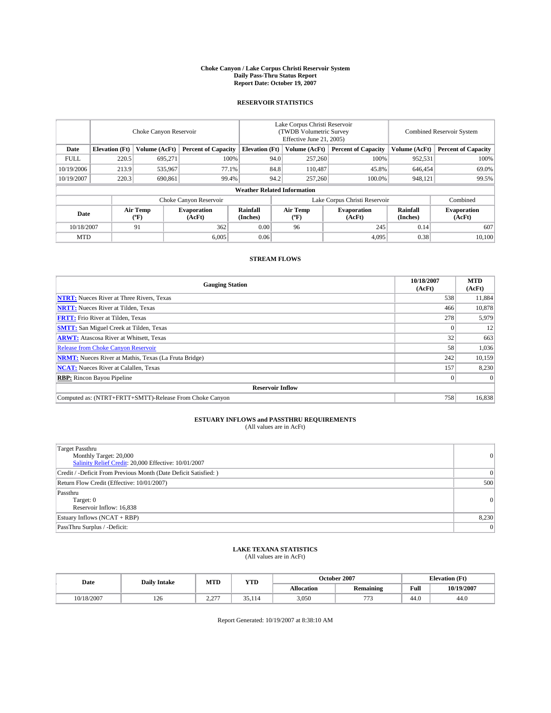#### **Choke Canyon / Lake Corpus Christi Reservoir System Daily Pass-Thru Status Report Report Date: October 19, 2007**

### **RESERVOIR STATISTICS**

|             | Choke Canyon Reservoir             |                  |                              |                       | Lake Corpus Christi Reservoir<br>(TWDB Volumetric Survey<br>Effective June 21, 2005) |                                           |                              | Combined Reservoir System |                              |  |
|-------------|------------------------------------|------------------|------------------------------|-----------------------|--------------------------------------------------------------------------------------|-------------------------------------------|------------------------------|---------------------------|------------------------------|--|
| Date        | <b>Elevation</b> (Ft)              | Volume (AcFt)    | <b>Percent of Capacity</b>   | <b>Elevation</b> (Ft) |                                                                                      | Volume (AcFt)                             | <b>Percent of Capacity</b>   | Volume (AcFt)             | <b>Percent of Capacity</b>   |  |
| <b>FULL</b> | 220.5                              | 695.271          | 100%                         |                       | 94.0                                                                                 | 257,260                                   | 100%                         | 952,531                   | 100%                         |  |
| 10/19/2006  | 213.9                              | 535,967          | 77.1%                        |                       | 84.8                                                                                 | 110,487                                   | 45.8%                        | 646,454                   | 69.0%                        |  |
| 10/19/2007  | 220.3                              | 690,861          | 99.4%                        |                       | 94.2                                                                                 | 257,260                                   | 100.0%                       | 948,121                   | 99.5%                        |  |
|             | <b>Weather Related Information</b> |                  |                              |                       |                                                                                      |                                           |                              |                           |                              |  |
|             |                                    |                  | Choke Canyon Reservoir       |                       | Lake Corpus Christi Reservoir                                                        |                                           |                              |                           | Combined                     |  |
| Date        |                                    | Air Temp<br>(°F) | <b>Evaporation</b><br>(AcFt) | Rainfall<br>(Inches)  |                                                                                      | Air Temp<br>$({}^{\mathrm{o}}\mathrm{F})$ | <b>Evaporation</b><br>(AcFt) | Rainfall<br>(Inches)      | <b>Evaporation</b><br>(AcFt) |  |
| 10/18/2007  |                                    | 91               | 362                          | 0.00                  |                                                                                      | 96                                        | 245                          | 0.14                      | 607                          |  |
| <b>MTD</b>  |                                    |                  | 6.005                        | 0.06                  |                                                                                      |                                           | 4,095                        | 0.38                      | 10,100                       |  |

## **STREAM FLOWS**

| <b>Gauging Station</b>                                       | 10/18/2007<br>(AcFt) | <b>MTD</b><br>(AcFt) |
|--------------------------------------------------------------|----------------------|----------------------|
| <b>NTRT:</b> Nueces River at Three Rivers, Texas             | 538                  | 11,884               |
| <b>NRTT:</b> Nueces River at Tilden, Texas                   | 466                  | 10,878               |
| <b>FRTT:</b> Frio River at Tilden, Texas                     | 278                  | 5,979                |
| <b>SMTT:</b> San Miguel Creek at Tilden, Texas               |                      | 12                   |
| <b>ARWT:</b> Atascosa River at Whitsett, Texas               | 32                   | 663                  |
| <b>Release from Choke Canyon Reservoir</b>                   | 58                   | 1,036                |
| <b>NRMT:</b> Nueces River at Mathis, Texas (La Fruta Bridge) | 242                  | 10,159               |
| <b>NCAT:</b> Nueces River at Calallen, Texas                 | 157                  | 8,230                |
| <b>RBP:</b> Rincon Bayou Pipeline                            |                      | $\Omega$             |
| <b>Reservoir Inflow</b>                                      |                      |                      |
| Computed as: (NTRT+FRTT+SMTT)-Release From Choke Canyon      | 758                  | 16,838               |

## **ESTUARY INFLOWS and PASSTHRU REQUIREMENTS**<br>(All values are in AcFt)

| <b>Target Passthru</b><br>Monthly Target: 20,000<br>Salinity Relief Credit: 20,000 Effective: 10/01/2007 | 0     |
|----------------------------------------------------------------------------------------------------------|-------|
| Credit / -Deficit From Previous Month (Date Deficit Satisfied: )                                         | 0     |
| Return Flow Credit (Effective: 10/01/2007)                                                               | 500   |
| Passthru<br>Target: 0<br>Reservoir Inflow: 16,838                                                        | 0     |
| Estuary Inflows (NCAT + RBP)                                                                             | 8,230 |
| PassThru Surplus / -Deficit:                                                                             | 0     |

## **LAKE TEXANA STATISTICS** (All values are in AcFt)

| Date      | <b>Daily Intake</b> | MTD               | <b>YTD</b> |                   | October 2007     | <b>Elevation</b> (Ft) |            |
|-----------|---------------------|-------------------|------------|-------------------|------------------|-----------------------|------------|
|           |                     |                   |            | <b>Allocation</b> | <b>Remaining</b> | Full                  | 10/19/2007 |
| 0/18/2007 | 126                 | 277<br><u>. .</u> | 35.114     | 3,050             | $\overline{a}$   | 44.0                  | 44.0       |

Report Generated: 10/19/2007 at 8:38:10 AM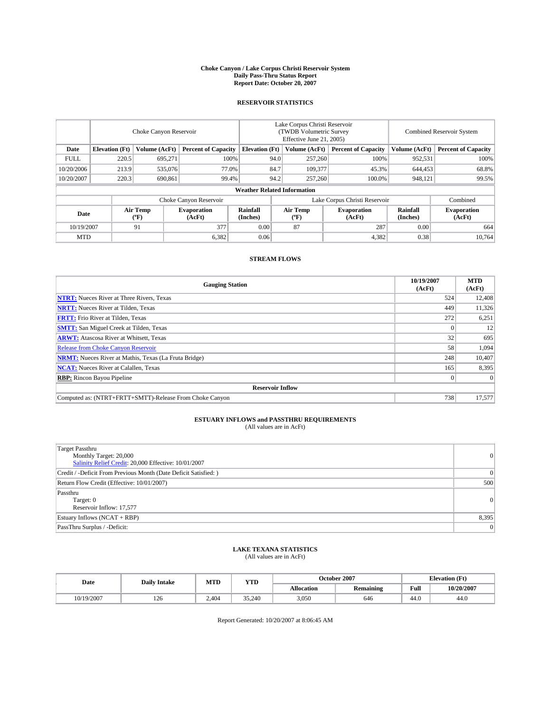#### **Choke Canyon / Lake Corpus Christi Reservoir System Daily Pass-Thru Status Report Report Date: October 20, 2007**

### **RESERVOIR STATISTICS**

|             | Choke Canyon Reservoir             |                  |                              |                       | Lake Corpus Christi Reservoir<br>(TWDB Volumetric Survey<br>Effective June 21, 2005) |                  |                               |                      | <b>Combined Reservoir System</b> |  |  |
|-------------|------------------------------------|------------------|------------------------------|-----------------------|--------------------------------------------------------------------------------------|------------------|-------------------------------|----------------------|----------------------------------|--|--|
| Date        | <b>Elevation</b> (Ft)              | Volume (AcFt)    | <b>Percent of Capacity</b>   | <b>Elevation</b> (Ft) |                                                                                      | Volume (AcFt)    | <b>Percent of Capacity</b>    | Volume (AcFt)        | <b>Percent of Capacity</b>       |  |  |
| <b>FULL</b> | 220.5                              | 695.271          | 100%                         |                       | 94.0                                                                                 | 257,260          | 100%                          | 952,531              | 100%                             |  |  |
| 10/20/2006  | 213.9                              | 535,076          | 77.0%                        |                       | 84.7                                                                                 | 109,377          | 45.3%                         | 644,453              | 68.8%                            |  |  |
| 10/20/2007  | 220.3                              | 690,861          | 99.4%                        |                       | 94.2                                                                                 | 257,260          | 100.0%                        | 948,121              | 99.5%                            |  |  |
|             | <b>Weather Related Information</b> |                  |                              |                       |                                                                                      |                  |                               |                      |                                  |  |  |
|             |                                    |                  | Choke Canyon Reservoir       |                       |                                                                                      |                  | Lake Corpus Christi Reservoir |                      | Combined                         |  |  |
| Date        |                                    | Air Temp<br>(°F) | <b>Evaporation</b><br>(AcFt) | Rainfall<br>(Inches)  |                                                                                      | Air Temp<br>("F) | <b>Evaporation</b><br>(AcFt)  | Rainfall<br>(Inches) | <b>Evaporation</b><br>(AcFt)     |  |  |
| 10/19/2007  |                                    | 91               | 377                          | 0.00                  |                                                                                      | 87               | 287                           | 0.00                 | 664                              |  |  |
| <b>MTD</b>  |                                    |                  | 6,382                        | 0.06                  |                                                                                      |                  | 4,382                         | 0.38                 | 10,764                           |  |  |

### **STREAM FLOWS**

| <b>Gauging Station</b>                                       | 10/19/2007<br>(AcFt) | <b>MTD</b><br>(AcFt) |
|--------------------------------------------------------------|----------------------|----------------------|
| <b>NTRT:</b> Nueces River at Three Rivers, Texas             | 524                  | 12,408               |
| <b>NRTT:</b> Nueces River at Tilden, Texas                   | 449                  | 11,326               |
| <b>FRTT:</b> Frio River at Tilden, Texas                     | 272                  | 6,251                |
| <b>SMTT:</b> San Miguel Creek at Tilden, Texas               |                      | 12                   |
| <b>ARWT:</b> Atascosa River at Whitsett, Texas               | 32                   | 695                  |
| <b>Release from Choke Canyon Reservoir</b>                   | 58                   | 1,094                |
| <b>NRMT:</b> Nueces River at Mathis, Texas (La Fruta Bridge) | 248                  | 10,407               |
| <b>NCAT:</b> Nueces River at Calallen, Texas                 | 165                  | 8,395                |
| <b>RBP:</b> Rincon Bayou Pipeline                            |                      | $\Omega$             |
| <b>Reservoir Inflow</b>                                      |                      |                      |
| Computed as: (NTRT+FRTT+SMTT)-Release From Choke Canyon      | 738                  | 17.577               |

## **ESTUARY INFLOWS and PASSTHRU REQUIREMENTS**<br>(All values are in AcFt)

| <b>Target Passthru</b><br>Monthly Target: 20,000<br>Salinity Relief Credit: 20,000 Effective: 10/01/2007 | $\vert 0 \vert$ |
|----------------------------------------------------------------------------------------------------------|-----------------|
| Credit / -Deficit From Previous Month (Date Deficit Satisfied: )                                         | $\Omega$        |
| Return Flow Credit (Effective: 10/01/2007)                                                               | 500             |
| Passthru<br>Target: 0<br>Reservoir Inflow: 17,577                                                        | $\vert 0 \vert$ |
| Estuary Inflows (NCAT + RBP)                                                                             | 8,395           |
| PassThru Surplus / -Deficit:                                                                             | $\overline{0}$  |

## **LAKE TEXANA STATISTICS** (All values are in AcFt)

| Date       | <b>Daily Intake</b> | MTD   | <b>YTD</b> |                   | October 2007     | <b>Elevation</b> (Ft) |            |
|------------|---------------------|-------|------------|-------------------|------------------|-----------------------|------------|
|            |                     |       |            | <b>Allocation</b> | <b>Remaining</b> | Full                  | 10/20/2007 |
| 10/19/2007 | 126                 | 2.404 | 35.240     | 3.050             | 646              | 44.0                  | 44.0       |

Report Generated: 10/20/2007 at 8:06:45 AM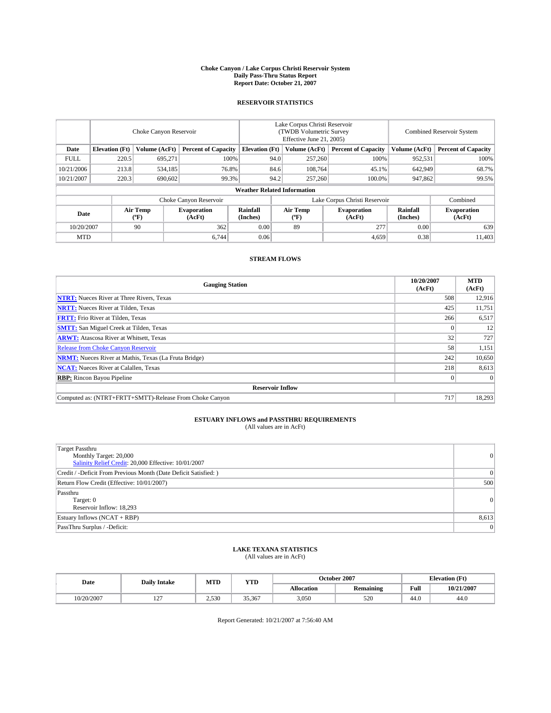#### **Choke Canyon / Lake Corpus Christi Reservoir System Daily Pass-Thru Status Report Report Date: October 21, 2007**

### **RESERVOIR STATISTICS**

|             | Choke Canyon Reservoir             |                  |                              |                       | Lake Corpus Christi Reservoir<br>(TWDB Volumetric Survey<br>Effective June 21, 2005) |                  |                               |                      | <b>Combined Reservoir System</b> |  |  |
|-------------|------------------------------------|------------------|------------------------------|-----------------------|--------------------------------------------------------------------------------------|------------------|-------------------------------|----------------------|----------------------------------|--|--|
| Date        | <b>Elevation</b> (Ft)              | Volume (AcFt)    | <b>Percent of Capacity</b>   | <b>Elevation</b> (Ft) |                                                                                      | Volume (AcFt)    | <b>Percent of Capacity</b>    | Volume (AcFt)        | <b>Percent of Capacity</b>       |  |  |
| <b>FULL</b> | 220.5                              | 695,271          | 100%                         |                       | 94.0                                                                                 | 257,260          | 100%                          | 952,531              | 100%                             |  |  |
| 10/21/2006  | 213.8                              | 534,185          | 76.8%                        |                       | 84.6                                                                                 | 108,764          | 45.1%                         | 642,949              | 68.7%                            |  |  |
| 10/21/2007  | 220.3                              | 690,602          | 99.3%                        |                       | 94.2                                                                                 | 257,260          | 100.0%                        | 947,862              | 99.5%                            |  |  |
|             | <b>Weather Related Information</b> |                  |                              |                       |                                                                                      |                  |                               |                      |                                  |  |  |
|             |                                    |                  | Choke Canyon Reservoir       |                       |                                                                                      |                  | Lake Corpus Christi Reservoir |                      | Combined                         |  |  |
| Date        |                                    | Air Temp<br>(°F) | <b>Evaporation</b><br>(AcFt) | Rainfall<br>(Inches)  |                                                                                      | Air Temp<br>("F) | <b>Evaporation</b><br>(AcFt)  | Rainfall<br>(Inches) | <b>Evaporation</b><br>(AcFt)     |  |  |
| 10/20/2007  |                                    | 90               | 362                          | 0.00                  |                                                                                      | 89               | 277                           | 0.00                 | 639                              |  |  |
| <b>MTD</b>  |                                    |                  | 6.744                        | 0.06                  |                                                                                      |                  | 4,659                         | 0.38                 | 11,403                           |  |  |

## **STREAM FLOWS**

| <b>Gauging Station</b>                                       | 10/20/2007<br>(AcFt) | <b>MTD</b><br>(AcFt) |
|--------------------------------------------------------------|----------------------|----------------------|
| <b>NTRT:</b> Nueces River at Three Rivers, Texas             | 508                  | 12,916               |
| <b>NRTT:</b> Nueces River at Tilden, Texas                   | 425                  | 11,751               |
| <b>FRTT:</b> Frio River at Tilden, Texas                     | 266                  | 6,517                |
| <b>SMTT:</b> San Miguel Creek at Tilden, Texas               |                      | 12                   |
| <b>ARWT:</b> Atascosa River at Whitsett, Texas               | 32                   | 727                  |
| <b>Release from Choke Canyon Reservoir</b>                   | 58                   | 1,151                |
| <b>NRMT:</b> Nueces River at Mathis, Texas (La Fruta Bridge) | 242                  | 10,650               |
| <b>NCAT:</b> Nueces River at Calallen, Texas                 | 218                  | 8,613                |
| <b>RBP:</b> Rincon Bayou Pipeline                            |                      | $\Omega$             |
| <b>Reservoir Inflow</b>                                      |                      |                      |
| Computed as: (NTRT+FRTT+SMTT)-Release From Choke Canyon      | 717                  | 18,293               |

# **ESTUARY INFLOWS and PASSTHRU REQUIREMENTS**<br>(All values are in AcFt)

| <b>Target Passthru</b><br>Monthly Target: 20,000<br>Salinity Relief Credit: 20,000 Effective: 10/01/2007 | $\vert 0 \vert$ |
|----------------------------------------------------------------------------------------------------------|-----------------|
| Credit / -Deficit From Previous Month (Date Deficit Satisfied: )                                         | $\overline{0}$  |
| Return Flow Credit (Effective: 10/01/2007)                                                               | 500             |
| Passthru<br>Target: 0<br>Reservoir Inflow: 18,293                                                        | $\vert 0 \vert$ |
| Estuary Inflows (NCAT + RBP)                                                                             | 8,613           |
| PassThru Surplus / -Deficit:                                                                             | $\Omega$        |

## **LAKE TEXANA STATISTICS** (All values are in AcFt)

| Date      | <b>Daily Intake</b> | MTD   | <b>YTD</b> |                   | October 2007     |      | <b>Elevation</b> (Ft) |
|-----------|---------------------|-------|------------|-------------------|------------------|------|-----------------------|
|           |                     |       |            | <b>Allocation</b> | <b>Remaining</b> | Full | 10/21/2007            |
| 0/20/2007 | $\sim$<br>1/2       | 2,530 | 35,367     | 3,050             | 520              | 44.0 | 44.0                  |

Report Generated: 10/21/2007 at 7:56:40 AM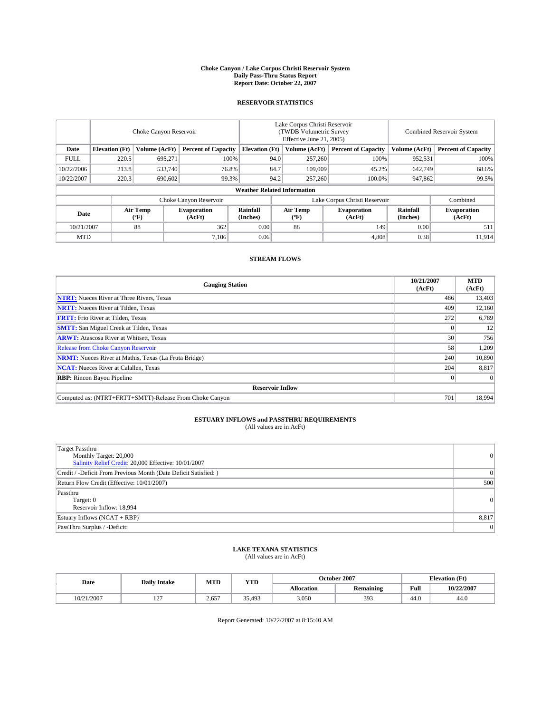#### **Choke Canyon / Lake Corpus Christi Reservoir System Daily Pass-Thru Status Report Report Date: October 22, 2007**

### **RESERVOIR STATISTICS**

|             | Choke Canyon Reservoir             |                  |                              |                       | Lake Corpus Christi Reservoir<br>(TWDB Volumetric Survey<br>Effective June 21, 2005) |                  |                               |                      | Combined Reservoir System    |  |  |
|-------------|------------------------------------|------------------|------------------------------|-----------------------|--------------------------------------------------------------------------------------|------------------|-------------------------------|----------------------|------------------------------|--|--|
| Date        | <b>Elevation</b> (Ft)              | Volume (AcFt)    | <b>Percent of Capacity</b>   | <b>Elevation</b> (Ft) |                                                                                      | Volume (AcFt)    | <b>Percent of Capacity</b>    | Volume (AcFt)        | <b>Percent of Capacity</b>   |  |  |
| <b>FULL</b> | 220.5                              | 695.271          | 100%                         |                       | 94.0                                                                                 | 257,260          | 100%                          | 952,531              | 100%                         |  |  |
| 10/22/2006  | 213.8                              | 533,740          | 76.8%                        |                       | 84.7                                                                                 | 109,009          | 45.2%                         | 642,749              | 68.6%                        |  |  |
| 10/22/2007  | 220.3                              | 690,602          | 99.3%                        |                       | 94.2                                                                                 | 257,260          | 100.0%                        | 947,862              | 99.5%                        |  |  |
|             | <b>Weather Related Information</b> |                  |                              |                       |                                                                                      |                  |                               |                      |                              |  |  |
|             |                                    |                  | Choke Canyon Reservoir       |                       |                                                                                      |                  | Lake Corpus Christi Reservoir |                      | Combined                     |  |  |
| Date        |                                    | Air Temp<br>(°F) | <b>Evaporation</b><br>(AcFt) | Rainfall<br>(Inches)  |                                                                                      | Air Temp<br>("F) | <b>Evaporation</b><br>(AcFt)  | Rainfall<br>(Inches) | <b>Evaporation</b><br>(AcFt) |  |  |
| 10/21/2007  |                                    | 88               | 362                          | 0.00                  |                                                                                      | 88               | 149                           | 0.00                 | 511                          |  |  |
| <b>MTD</b>  |                                    |                  | 7.106                        | 0.06                  |                                                                                      |                  | 4,808                         | 0.38                 | 11,914                       |  |  |

## **STREAM FLOWS**

| <b>Gauging Station</b>                                       | 10/21/2007<br>(AcFt) | <b>MTD</b><br>(AcFt) |
|--------------------------------------------------------------|----------------------|----------------------|
| <b>NTRT:</b> Nueces River at Three Rivers, Texas             | 486                  | 13,403               |
| <b>NRTT:</b> Nueces River at Tilden, Texas                   | 409                  | 12,160               |
| <b>FRTT:</b> Frio River at Tilden, Texas                     | 272                  | 6,789                |
| <b>SMTT:</b> San Miguel Creek at Tilden, Texas               |                      | 12                   |
| <b>ARWT:</b> Atascosa River at Whitsett, Texas               | 30                   | 756                  |
| <b>Release from Choke Canyon Reservoir</b>                   | 58                   | 1,209                |
| <b>NRMT:</b> Nueces River at Mathis, Texas (La Fruta Bridge) | 240                  | 10,890               |
| <b>NCAT:</b> Nueces River at Calallen, Texas                 | 204                  | 8,817                |
| <b>RBP:</b> Rincon Bayou Pipeline                            |                      | $\Omega$             |
| <b>Reservoir Inflow</b>                                      |                      |                      |
| Computed as: (NTRT+FRTT+SMTT)-Release From Choke Canyon      | 701                  | 18.994               |

# **ESTUARY INFLOWS and PASSTHRU REQUIREMENTS**<br>(All values are in AcFt)

| <b>Target Passthru</b><br>Monthly Target: 20,000<br>Salinity Relief Credit: 20,000 Effective: 10/01/2007 | $\vert 0 \vert$ |
|----------------------------------------------------------------------------------------------------------|-----------------|
| Credit / -Deficit From Previous Month (Date Deficit Satisfied: )                                         | 0               |
| Return Flow Credit (Effective: 10/01/2007)                                                               | 500             |
| Passthru<br>Target: 0<br>Reservoir Inflow: 18,994                                                        | $\vert 0 \vert$ |
| Estuary Inflows (NCAT + RBP)                                                                             | 8,817           |
| PassThru Surplus / -Deficit:                                                                             | $\Omega$        |

## **LAKE TEXANA STATISTICS** (All values are in AcFt)

| Date       | <b>Daily Intake</b>      | MTD   | <b>YTD</b> |                   | October 2007     | <b>Elevation (Ft)</b> |            |  |
|------------|--------------------------|-------|------------|-------------------|------------------|-----------------------|------------|--|
|            |                          |       |            | <b>Allocation</b> | <b>Remaining</b> | Full                  | 10/22/2007 |  |
| 10/21/2007 | $\sim$<br>$\overline{1}$ | 2.657 | 35.493     | 3,050             | 393              | 44.0                  | 44.0       |  |

Report Generated: 10/22/2007 at 8:15:40 AM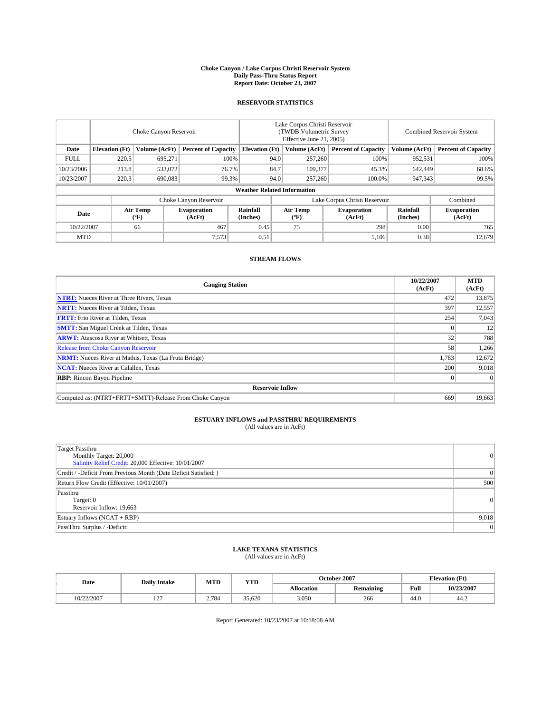#### **Choke Canyon / Lake Corpus Christi Reservoir System Daily Pass-Thru Status Report Report Date: October 23, 2007**

### **RESERVOIR STATISTICS**

|             | Choke Canyon Reservoir             |                  |                              |                       | Lake Corpus Christi Reservoir<br>(TWDB Volumetric Survey<br>Effective June 21, 2005) |                  |                               | <b>Combined Reservoir System</b> |                              |  |
|-------------|------------------------------------|------------------|------------------------------|-----------------------|--------------------------------------------------------------------------------------|------------------|-------------------------------|----------------------------------|------------------------------|--|
| Date        | <b>Elevation</b> (Ft)              | Volume (AcFt)    | <b>Percent of Capacity</b>   | <b>Elevation</b> (Ft) |                                                                                      | Volume (AcFt)    | <b>Percent of Capacity</b>    | Volume (AcFt)                    | <b>Percent of Capacity</b>   |  |
| <b>FULL</b> | 220.5                              | 695.271          | 100%                         |                       | 94.0                                                                                 | 257,260          | 100%                          | 952,531                          | 100%                         |  |
| 10/23/2006  | 213.8                              | 533,072          | 76.7%                        |                       | 84.7                                                                                 | 109.377          | 45.3%                         | 642,449                          | 68.6%                        |  |
| 10/23/2007  | 220.3                              | 690,083          | 99.3%                        |                       | 94.0                                                                                 | 257,260          | 100.0%                        | 947,343                          | 99.5%                        |  |
|             | <b>Weather Related Information</b> |                  |                              |                       |                                                                                      |                  |                               |                                  |                              |  |
|             |                                    |                  | Choke Canyon Reservoir       |                       |                                                                                      |                  | Lake Corpus Christi Reservoir |                                  | Combined                     |  |
| Date        |                                    | Air Temp<br>(°F) | <b>Evaporation</b><br>(AcFt) | Rainfall<br>(Inches)  |                                                                                      | Air Temp<br>("F) | <b>Evaporation</b><br>(AcFt)  | Rainfall<br>(Inches)             | <b>Evaporation</b><br>(AcFt) |  |
| 10/22/2007  |                                    | 66               | 467                          | 0.45                  |                                                                                      | 75               | 298                           | 0.00                             | 765                          |  |
| <b>MTD</b>  |                                    |                  | 7.573                        | 0.51                  |                                                                                      |                  | 5,106                         | 0.38                             | 12,679                       |  |

## **STREAM FLOWS**

| <b>Gauging Station</b>                                       | 10/22/2007<br>(AcFt) | <b>MTD</b><br>(AcFt) |
|--------------------------------------------------------------|----------------------|----------------------|
| <b>NTRT:</b> Nueces River at Three Rivers, Texas             | 472                  | 13,875               |
| <b>NRTT:</b> Nueces River at Tilden, Texas                   | 397                  | 12,557               |
| <b>FRTT:</b> Frio River at Tilden, Texas                     | 254                  | 7,043                |
| <b>SMTT:</b> San Miguel Creek at Tilden, Texas               |                      | 12                   |
| <b>ARWT:</b> Atascosa River at Whitsett, Texas               | 32                   | 788                  |
| <b>Release from Choke Canyon Reservoir</b>                   | 58                   | 1,266                |
| <b>NRMT:</b> Nueces River at Mathis, Texas (La Fruta Bridge) | 1,783                | 12,672               |
| <b>NCAT:</b> Nueces River at Calallen, Texas                 | 200                  | 9,018                |
| <b>RBP:</b> Rincon Bayou Pipeline                            |                      | $\Omega$             |
| <b>Reservoir Inflow</b>                                      |                      |                      |
| Computed as: (NTRT+FRTT+SMTT)-Release From Choke Canyon      | 669                  | 19.663               |

## **ESTUARY INFLOWS and PASSTHRU REQUIREMENTS**<br>(All values are in AcFt)

| <b>Target Passthru</b><br>Monthly Target: 20,000<br>Salinity Relief Credit: 20,000 Effective: 10/01/2007 | 0     |
|----------------------------------------------------------------------------------------------------------|-------|
| Credit / -Deficit From Previous Month (Date Deficit Satisfied: )                                         | 0     |
| Return Flow Credit (Effective: 10/01/2007)                                                               | 500   |
| Passthru<br>Target: 0<br>Reservoir Inflow: 19,663                                                        | 0     |
| Estuary Inflows (NCAT + RBP)                                                                             | 9,018 |
| PassThru Surplus / -Deficit:                                                                             | 0     |

## **LAKE TEXANA STATISTICS** (All values are in AcFt)

| Date       | <b>Daily Intake</b>      | MTD   | <b>YTD</b> |                   | October 2007     | <b>Elevation</b> (Ft) |            |
|------------|--------------------------|-------|------------|-------------------|------------------|-----------------------|------------|
|            |                          |       |            | <b>Allocation</b> | <b>Remaining</b> | Full                  | 10/23/2007 |
| 10/22/2007 | $\sim$<br>$\overline{1}$ | 2.784 | 35.620     | 3,050             | 266              | 44.0                  | 44.Z       |

Report Generated: 10/23/2007 at 10:18:08 AM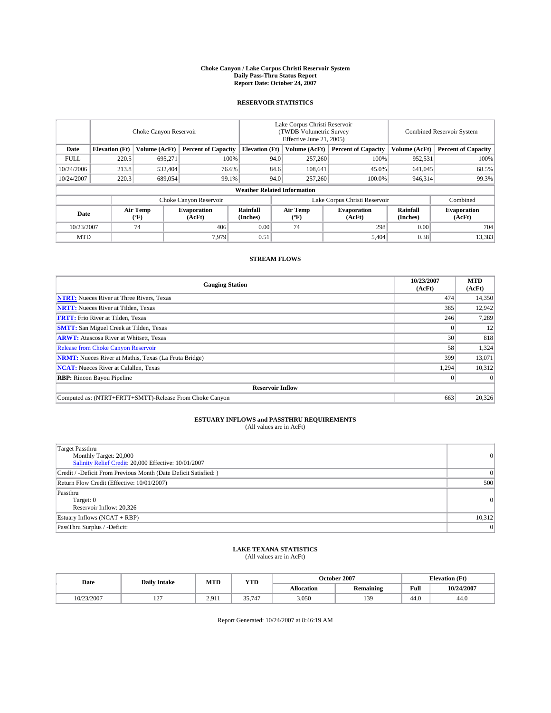#### **Choke Canyon / Lake Corpus Christi Reservoir System Daily Pass-Thru Status Report Report Date: October 24, 2007**

### **RESERVOIR STATISTICS**

|             | Choke Canyon Reservoir             |                  |                              |                       | Lake Corpus Christi Reservoir<br>(TWDB Volumetric Survey<br>Effective June 21, 2005) |                  |                              |                      | Combined Reservoir System    |  |  |
|-------------|------------------------------------|------------------|------------------------------|-----------------------|--------------------------------------------------------------------------------------|------------------|------------------------------|----------------------|------------------------------|--|--|
| Date        | <b>Elevation</b> (Ft)              | Volume (AcFt)    | <b>Percent of Capacity</b>   | <b>Elevation</b> (Ft) |                                                                                      | Volume (AcFt)    | <b>Percent of Capacity</b>   | Volume (AcFt)        | <b>Percent of Capacity</b>   |  |  |
| <b>FULL</b> | 220.5                              | 695.271          | 100%                         |                       | 94.0                                                                                 | 257,260          | 100%                         | 952,531              | 100%                         |  |  |
| 10/24/2006  | 213.8                              | 532,404          | 76.6%                        |                       | 84.6                                                                                 | 108,641          | 45.0%                        | 641,045              | 68.5%                        |  |  |
| 10/24/2007  | 220.3                              | 689,054          | 99.1%                        |                       | 94.0                                                                                 | 257,260          | 100.0%                       | 946,314              | 99.3%                        |  |  |
|             | <b>Weather Related Information</b> |                  |                              |                       |                                                                                      |                  |                              |                      |                              |  |  |
|             |                                    |                  | Choke Canyon Reservoir       |                       | Lake Corpus Christi Reservoir                                                        |                  |                              |                      | Combined                     |  |  |
| Date        |                                    | Air Temp<br>(°F) | <b>Evaporation</b><br>(AcFt) | Rainfall<br>(Inches)  |                                                                                      | Air Temp<br>("F) | <b>Evaporation</b><br>(AcFt) | Rainfall<br>(Inches) | <b>Evaporation</b><br>(AcFt) |  |  |
| 10/23/2007  |                                    | 74               | 406                          | 0.00                  |                                                                                      | 74               | 298                          | 0.00                 | 704                          |  |  |
| <b>MTD</b>  |                                    |                  | 7.979                        | 0.51                  |                                                                                      |                  | 5,404                        | 0.38                 | 13,383                       |  |  |

## **STREAM FLOWS**

| <b>Gauging Station</b>                                       | 10/23/2007<br>(AcFt) | <b>MTD</b><br>(AcFt) |
|--------------------------------------------------------------|----------------------|----------------------|
| <b>NTRT:</b> Nueces River at Three Rivers, Texas             | 474                  | 14,350               |
| <b>NRTT:</b> Nueces River at Tilden, Texas                   | 385                  | 12,942               |
| <b>FRTT:</b> Frio River at Tilden, Texas                     | 246                  | 7,289                |
| <b>SMTT:</b> San Miguel Creek at Tilden, Texas               |                      | 12                   |
| <b>ARWT:</b> Atascosa River at Whitsett, Texas               | 30                   | 818                  |
| <b>Release from Choke Canyon Reservoir</b>                   | 58                   | 1,324                |
| <b>NRMT:</b> Nueces River at Mathis, Texas (La Fruta Bridge) | 399                  | 13,071               |
| <b>NCAT:</b> Nueces River at Calallen, Texas                 | 1,294                | 10,312               |
| <b>RBP:</b> Rincon Bayou Pipeline                            |                      | $\Omega$             |
| <b>Reservoir Inflow</b>                                      |                      |                      |
| Computed as: (NTRT+FRTT+SMTT)-Release From Choke Canyon      | 663                  | 20,326               |

## **ESTUARY INFLOWS and PASSTHRU REQUIREMENTS**<br>(All values are in AcFt)

| <b>Target Passthru</b><br>Monthly Target: 20,000<br>Salinity Relief Credit: 20,000 Effective: 10/01/2007 | 0      |
|----------------------------------------------------------------------------------------------------------|--------|
| Credit / -Deficit From Previous Month (Date Deficit Satisfied: )                                         | 0      |
| Return Flow Credit (Effective: 10/01/2007)                                                               | 500    |
| Passthru<br>Target: 0<br>Reservoir Inflow: 20,326                                                        | 0      |
| Estuary Inflows (NCAT + RBP)                                                                             | 10,312 |
| PassThru Surplus / -Deficit:                                                                             | 0      |

## **LAKE TEXANA STATISTICS** (All values are in AcFt)

| Date       | <b>Daily Intake</b>      | MTD   | <b>YTD</b>              |                   | October 2007     |      | <b>Elevation (Ft)</b> |  |
|------------|--------------------------|-------|-------------------------|-------------------|------------------|------|-----------------------|--|
|            |                          |       |                         | <b>Allocation</b> | <b>Remaining</b> | Full | 10/24/2007            |  |
| 10/23/2007 | $\sim$<br>$\overline{1}$ | 2.911 | 25717<br>(4.<br><i></i> | 3,050             | 139              | 44.0 | 44.0                  |  |

Report Generated: 10/24/2007 at 8:46:19 AM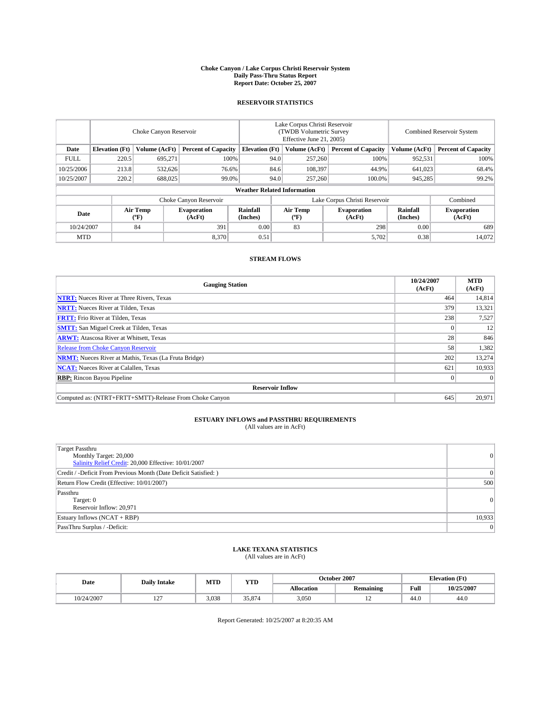#### **Choke Canyon / Lake Corpus Christi Reservoir System Daily Pass-Thru Status Report Report Date: October 25, 2007**

### **RESERVOIR STATISTICS**

|             | Choke Canyon Reservoir |                  |                              |                                    | Lake Corpus Christi Reservoir<br>(TWDB Volumetric Survey<br>Effective June 21, 2005) |                  |                               | <b>Combined Reservoir System</b> |                              |  |
|-------------|------------------------|------------------|------------------------------|------------------------------------|--------------------------------------------------------------------------------------|------------------|-------------------------------|----------------------------------|------------------------------|--|
| Date        | <b>Elevation</b> (Ft)  | Volume (AcFt)    | <b>Percent of Capacity</b>   | <b>Elevation</b> (Ft)              |                                                                                      | Volume (AcFt)    | <b>Percent of Capacity</b>    | Volume (AcFt)                    | <b>Percent of Capacity</b>   |  |
| <b>FULL</b> | 220.5                  | 695.271          |                              | 100%                               | 94.0                                                                                 | 257,260          | 100%                          | 952,531                          | 100%                         |  |
| 10/25/2006  | 213.8                  | 532,626          | 76.6%                        |                                    | 84.6                                                                                 | 108.397          | 44.9%                         | 641.023                          | 68.4%                        |  |
| 10/25/2007  | 220.2                  | 688,025          | 99.0%                        |                                    | 94.0                                                                                 | 257,260          | 100.0%                        | 945,285                          | 99.2%                        |  |
|             |                        |                  |                              | <b>Weather Related Information</b> |                                                                                      |                  |                               |                                  |                              |  |
|             |                        |                  | Choke Canyon Reservoir       |                                    |                                                                                      |                  | Lake Corpus Christi Reservoir |                                  | Combined                     |  |
| Date        |                        | Air Temp<br>(°F) | <b>Evaporation</b><br>(AcFt) | Rainfall<br>(Inches)               |                                                                                      | Air Temp<br>("F) | <b>Evaporation</b><br>(AcFt)  | Rainfall<br>(Inches)             | <b>Evaporation</b><br>(AcFt) |  |
| 10/24/2007  |                        | 84               | 391                          | 0.00                               |                                                                                      | 83               | 298                           | 0.00                             | 689                          |  |
| <b>MTD</b>  |                        |                  | 8,370                        | 0.51                               |                                                                                      |                  | 5,702                         | 0.38                             | 14,072                       |  |

## **STREAM FLOWS**

| <b>Gauging Station</b>                                       | 10/24/2007<br>(AcFt) | <b>MTD</b><br>(AcFt) |
|--------------------------------------------------------------|----------------------|----------------------|
| <b>NTRT:</b> Nueces River at Three Rivers, Texas             | 464                  | 14,814               |
| <b>NRTT:</b> Nueces River at Tilden, Texas                   | 379                  | 13,321               |
| <b>FRTT:</b> Frio River at Tilden, Texas                     | 238                  | 7,527                |
| <b>SMTT:</b> San Miguel Creek at Tilden, Texas               |                      | 12                   |
| <b>ARWT:</b> Atascosa River at Whitsett, Texas               | 28                   | 846                  |
| <b>Release from Choke Canyon Reservoir</b>                   | 58                   | 1,382                |
| <b>NRMT:</b> Nueces River at Mathis, Texas (La Fruta Bridge) | 202                  | 13,274               |
| <b>NCAT:</b> Nueces River at Calallen, Texas                 | 621                  | 10,933               |
| <b>RBP:</b> Rincon Bayou Pipeline                            |                      | $\Omega$             |
| <b>Reservoir Inflow</b>                                      |                      |                      |
| Computed as: (NTRT+FRTT+SMTT)-Release From Choke Canyon      | 645                  | 20.971               |

## **ESTUARY INFLOWS and PASSTHRU REQUIREMENTS**<br>(All values are in AcFt)

| <b>Target Passthru</b><br>Monthly Target: 20,000<br>Salinity Relief Credit: 20,000 Effective: 10/01/2007 | 0      |
|----------------------------------------------------------------------------------------------------------|--------|
| Credit / -Deficit From Previous Month (Date Deficit Satisfied: )                                         | 0      |
| Return Flow Credit (Effective: 10/01/2007)                                                               | 500    |
| Passthru<br>Target: 0<br>Reservoir Inflow: 20,971                                                        | 0      |
| Estuary Inflows (NCAT + RBP)                                                                             | 10,933 |
| PassThru Surplus / -Deficit:                                                                             | 0      |

## **LAKE TEXANA STATISTICS** (All values are in AcFt)

| Date       | <b>Daily Intake</b>      | MTD   | <b>YTD</b> |                   | October 2007     | <b>Elevation (Ft)</b> |            |
|------------|--------------------------|-------|------------|-------------------|------------------|-----------------------|------------|
|            |                          |       |            | <b>Allocation</b> | <b>Remaining</b> | Full                  | 10/25/2007 |
| 10/24/2007 | $\sim$<br>$\overline{1}$ | 3.038 | 35,874     | 3.050             | $\overline{ }$   | 44.0                  | 44.0       |

Report Generated: 10/25/2007 at 8:20:35 AM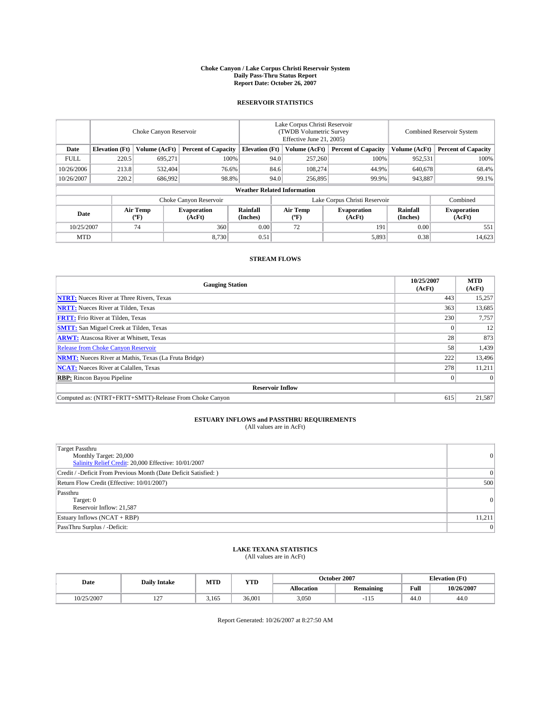#### **Choke Canyon / Lake Corpus Christi Reservoir System Daily Pass-Thru Status Report Report Date: October 26, 2007**

### **RESERVOIR STATISTICS**

|             | Choke Canyon Reservoir |                  |                              |                                    | Lake Corpus Christi Reservoir<br>(TWDB Volumetric Survey<br>Effective June 21, 2005) |                  |                               | Combined Reservoir System |                              |  |
|-------------|------------------------|------------------|------------------------------|------------------------------------|--------------------------------------------------------------------------------------|------------------|-------------------------------|---------------------------|------------------------------|--|
| Date        | <b>Elevation</b> (Ft)  | Volume (AcFt)    | <b>Percent of Capacity</b>   | <b>Elevation</b> (Ft)              |                                                                                      | Volume (AcFt)    | <b>Percent of Capacity</b>    | Volume (AcFt)             | <b>Percent of Capacity</b>   |  |
| <b>FULL</b> | 220.5                  | 695.271          | 100%                         |                                    | 94.0                                                                                 | 257,260          | 100%                          | 952,531                   | 100%                         |  |
| 10/26/2006  | 213.8                  | 532,404          | 76.6%                        |                                    | 84.6                                                                                 | 108,274          | 44.9%                         | 640,678                   | 68.4%                        |  |
| 10/26/2007  | 220.2                  | 686,992          | 98.8%                        |                                    | 94.0                                                                                 | 256,895          | 99.9%                         | 943,887                   | 99.1%                        |  |
|             |                        |                  |                              | <b>Weather Related Information</b> |                                                                                      |                  |                               |                           |                              |  |
|             |                        |                  | Choke Canyon Reservoir       |                                    |                                                                                      |                  | Lake Corpus Christi Reservoir |                           | Combined                     |  |
| Date        |                        | Air Temp<br>(°F) | <b>Evaporation</b><br>(AcFt) | Rainfall<br>(Inches)               |                                                                                      | Air Temp<br>("F) | <b>Evaporation</b><br>(AcFt)  | Rainfall<br>(Inches)      | <b>Evaporation</b><br>(AcFt) |  |
| 10/25/2007  |                        | 74               | 360                          | 0.00                               |                                                                                      | 72               | 191                           | 0.00                      | 551                          |  |
| <b>MTD</b>  |                        |                  | 8,730                        | 0.51                               |                                                                                      |                  | 5,893                         | 0.38                      | 14,623                       |  |

## **STREAM FLOWS**

| <b>Gauging Station</b>                                       | 10/25/2007<br>(AcFt) | <b>MTD</b><br>(AcFt) |
|--------------------------------------------------------------|----------------------|----------------------|
| <b>NTRT:</b> Nueces River at Three Rivers, Texas             | 443                  | 15,257               |
| <b>NRTT:</b> Nueces River at Tilden, Texas                   | 363                  | 13,685               |
| <b>FRTT:</b> Frio River at Tilden, Texas                     | 230                  | 7,757                |
| <b>SMTT:</b> San Miguel Creek at Tilden, Texas               |                      | 12                   |
| <b>ARWT:</b> Atascosa River at Whitsett, Texas               | 28                   | 873                  |
| <b>Release from Choke Canyon Reservoir</b>                   | 58                   | 1,439                |
| <b>NRMT:</b> Nueces River at Mathis, Texas (La Fruta Bridge) | 222                  | 13,496               |
| <b>NCAT:</b> Nueces River at Calallen, Texas                 | 278                  | 11,211               |
| <b>RBP:</b> Rincon Bayou Pipeline                            |                      | $\Omega$             |
| <b>Reservoir Inflow</b>                                      |                      |                      |
| Computed as: (NTRT+FRTT+SMTT)-Release From Choke Canyon      | 615                  | 21,587               |

## **ESTUARY INFLOWS and PASSTHRU REQUIREMENTS**<br>(All values are in AcFt)

| <b>Target Passthru</b><br>Monthly Target: 20,000<br>Salinity Relief Credit: 20,000 Effective: 10/01/2007 | $\vert 0 \vert$ |
|----------------------------------------------------------------------------------------------------------|-----------------|
| Credit / -Deficit From Previous Month (Date Deficit Satisfied: )                                         | $\overline{0}$  |
| Return Flow Credit (Effective: 10/01/2007)                                                               | 500             |
| Passthru<br>Target: 0<br>Reservoir Inflow: 21,587                                                        | $\vert 0 \vert$ |
| Estuary Inflows (NCAT + RBP)                                                                             | 11,211          |
| PassThru Surplus / -Deficit:                                                                             | $\Omega$        |

## **LAKE TEXANA STATISTICS** (All values are in AcFt)

| Date       | <b>Daily Intake</b>      | MTD   | <b>YTD</b> |                   | October 2007     | <b>Elevation (Ft)</b> |            |
|------------|--------------------------|-------|------------|-------------------|------------------|-----------------------|------------|
|            |                          |       |            | <b>Allocation</b> | <b>Remaining</b> | Full                  | 10/26/2007 |
| 10/25/2007 | $\sim$<br>$\overline{1}$ | 3.165 | 36,001     | 3.050             | чı.              | 44.0                  | 44.0       |

Report Generated: 10/26/2007 at 8:27:50 AM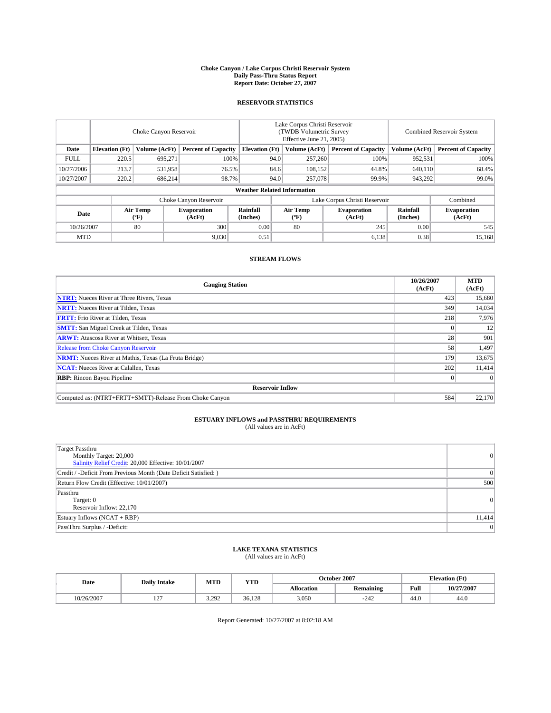#### **Choke Canyon / Lake Corpus Christi Reservoir System Daily Pass-Thru Status Report Report Date: October 27, 2007**

### **RESERVOIR STATISTICS**

|             | Choke Canyon Reservoir             |                  |                              |                       | Lake Corpus Christi Reservoir<br>(TWDB Volumetric Survey<br>Effective June 21, 2005) |                  |                               | Combined Reservoir System |                              |  |
|-------------|------------------------------------|------------------|------------------------------|-----------------------|--------------------------------------------------------------------------------------|------------------|-------------------------------|---------------------------|------------------------------|--|
| Date        | <b>Elevation</b> (Ft)              | Volume (AcFt)    | <b>Percent of Capacity</b>   | <b>Elevation</b> (Ft) |                                                                                      | Volume (AcFt)    | <b>Percent of Capacity</b>    | Volume (AcFt)             | <b>Percent of Capacity</b>   |  |
| <b>FULL</b> | 220.5                              | 695.271          | 100%                         |                       | 94.0                                                                                 | 257,260          | 100%                          | 952,531                   | 100%                         |  |
| 10/27/2006  | 213.7                              | 531,958          | 76.5%                        |                       | 84.6                                                                                 | 108,152          | 44.8%                         | 640,110                   | 68.4%                        |  |
| 10/27/2007  | 220.2                              | 686,214          | 98.7%                        |                       | 94.0                                                                                 | 257,078          | 99.9%                         | 943,292                   | 99.0%                        |  |
|             | <b>Weather Related Information</b> |                  |                              |                       |                                                                                      |                  |                               |                           |                              |  |
|             |                                    |                  | Choke Canyon Reservoir       |                       |                                                                                      |                  | Lake Corpus Christi Reservoir |                           | Combined                     |  |
| Date        |                                    | Air Temp<br>(°F) | <b>Evaporation</b><br>(AcFt) | Rainfall<br>(Inches)  |                                                                                      | Air Temp<br>("F) | <b>Evaporation</b><br>(AcFt)  | Rainfall<br>(Inches)      | <b>Evaporation</b><br>(AcFt) |  |
| 10/26/2007  |                                    | 80               | 300                          | 0.00                  |                                                                                      | 80               | 245                           | 0.00                      | 545                          |  |
| <b>MTD</b>  |                                    |                  | 9,030                        | 0.51                  |                                                                                      |                  | 6,138                         | 0.38                      | 15,168                       |  |

## **STREAM FLOWS**

| <b>Gauging Station</b>                                       | 10/26/2007<br>(AcFt) | <b>MTD</b><br>(AcFt) |
|--------------------------------------------------------------|----------------------|----------------------|
| <b>NTRT:</b> Nueces River at Three Rivers, Texas             | 423                  | 15,680               |
| <b>NRTT:</b> Nueces River at Tilden, Texas                   | 349                  | 14.034               |
| <b>FRTT:</b> Frio River at Tilden, Texas                     | 218                  | 7,976                |
| <b>SMTT:</b> San Miguel Creek at Tilden, Texas               |                      | 12                   |
| <b>ARWT:</b> Atascosa River at Whitsett, Texas               | 28                   | 901                  |
| <b>Release from Choke Canyon Reservoir</b>                   | 58                   | 1,497                |
| <b>NRMT:</b> Nueces River at Mathis, Texas (La Fruta Bridge) | 179                  | 13,675               |
| <b>NCAT:</b> Nueces River at Calallen, Texas                 | 202                  | 11,414               |
| <b>RBP:</b> Rincon Bayou Pipeline                            |                      | $\Omega$             |
| <b>Reservoir Inflow</b>                                      |                      |                      |
| Computed as: (NTRT+FRTT+SMTT)-Release From Choke Canyon      | 584                  | 22,170               |

# **ESTUARY INFLOWS and PASSTHRU REQUIREMENTS**<br>(All values are in AcFt)

| <b>Target Passthru</b><br>Monthly Target: 20,000<br>Salinity Relief Credit: 20,000 Effective: 10/01/2007 | $\vert 0 \vert$ |
|----------------------------------------------------------------------------------------------------------|-----------------|
| Credit / -Deficit From Previous Month (Date Deficit Satisfied: )                                         | $\Omega$        |
| Return Flow Credit (Effective: 10/01/2007)                                                               | 500             |
| Passthru<br>Target: 0<br>Reservoir Inflow: 22,170                                                        | $\vert 0 \vert$ |
| Estuary Inflows (NCAT + RBP)                                                                             | 11,414          |
| PassThru Surplus / -Deficit:                                                                             | $\Omega$        |

## **LAKE TEXANA STATISTICS** (All values are in AcFt)

| Date       | <b>Daily Intake</b>      | MTD   | <b>YTD</b> |                   | October 2007     |      | <b>Elevation (Ft)</b> |
|------------|--------------------------|-------|------------|-------------------|------------------|------|-----------------------|
|            |                          |       |            | <b>Allocation</b> | <b>Remaining</b> | Full | 10/27/2007            |
| 10/26/2007 | $\sim$<br>$\overline{1}$ | 3.292 | 36.128     | 3.050             | $-242$           | 44.0 | 44.0                  |

Report Generated: 10/27/2007 at 8:02:18 AM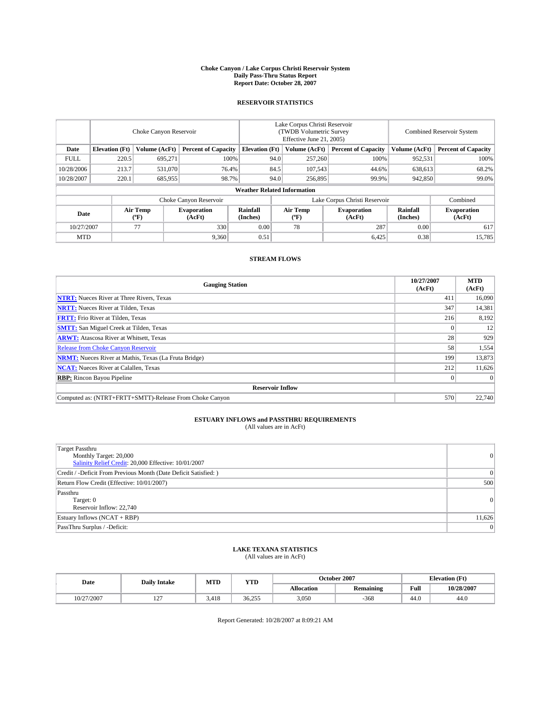#### **Choke Canyon / Lake Corpus Christi Reservoir System Daily Pass-Thru Status Report Report Date: October 28, 2007**

### **RESERVOIR STATISTICS**

|             | Choke Canyon Reservoir |                  |                              |                                    | Lake Corpus Christi Reservoir<br>(TWDB Volumetric Survey<br>Effective June 21, 2005) |                  |                               | Combined Reservoir System |                              |  |
|-------------|------------------------|------------------|------------------------------|------------------------------------|--------------------------------------------------------------------------------------|------------------|-------------------------------|---------------------------|------------------------------|--|
| Date        | <b>Elevation</b> (Ft)  | Volume (AcFt)    | <b>Percent of Capacity</b>   | <b>Elevation</b> (Ft)              |                                                                                      | Volume (AcFt)    | <b>Percent of Capacity</b>    | Volume (AcFt)             | <b>Percent of Capacity</b>   |  |
| <b>FULL</b> | 220.5                  | 695.271          | 100%                         |                                    | 94.0                                                                                 | 257,260          | 100%                          | 952,531                   | 100%                         |  |
| 10/28/2006  | 213.7                  | 531,070          | 76.4%                        |                                    | 84.5                                                                                 | 107,543          | 44.6%                         | 638,613                   | 68.2%                        |  |
| 10/28/2007  | 220.1                  | 685,955          | 98.7%                        |                                    | 94.0                                                                                 | 256,895          | 99.9%                         | 942,850                   | 99.0%                        |  |
|             |                        |                  |                              | <b>Weather Related Information</b> |                                                                                      |                  |                               |                           |                              |  |
|             |                        |                  | Choke Canyon Reservoir       |                                    |                                                                                      |                  | Lake Corpus Christi Reservoir |                           | Combined                     |  |
| Date        |                        | Air Temp<br>(°F) | <b>Evaporation</b><br>(AcFt) | Rainfall<br>(Inches)               |                                                                                      | Air Temp<br>("F) | <b>Evaporation</b><br>(AcFt)  | Rainfall<br>(Inches)      | <b>Evaporation</b><br>(AcFt) |  |
| 10/27/2007  |                        | 77               | 330                          | 0.00                               |                                                                                      | 78               | 287                           | 0.00                      | 617                          |  |
| <b>MTD</b>  |                        |                  | 9.360                        | 0.51                               |                                                                                      |                  | 6,425                         | 0.38                      | 15,785                       |  |

## **STREAM FLOWS**

| <b>Gauging Station</b>                                       | 10/27/2007<br>(AcFt) | <b>MTD</b><br>(AcFt) |
|--------------------------------------------------------------|----------------------|----------------------|
| <b>NTRT:</b> Nueces River at Three Rivers, Texas             | 411                  | 16,090               |
| <b>NRTT:</b> Nueces River at Tilden, Texas                   | 347                  | 14,381               |
| <b>FRTT:</b> Frio River at Tilden, Texas                     | 216                  | 8,192                |
| <b>SMTT:</b> San Miguel Creek at Tilden, Texas               |                      | 12                   |
| <b>ARWT:</b> Atascosa River at Whitsett, Texas               | 28                   | 929                  |
| <b>Release from Choke Canyon Reservoir</b>                   | 58                   | 1,554                |
| <b>NRMT:</b> Nueces River at Mathis, Texas (La Fruta Bridge) | 199                  | 13,873               |
| <b>NCAT:</b> Nueces River at Calallen, Texas                 | 212                  | 11,626               |
| <b>RBP:</b> Rincon Bayou Pipeline                            |                      | $\Omega$             |
| <b>Reservoir Inflow</b>                                      |                      |                      |
| Computed as: (NTRT+FRTT+SMTT)-Release From Choke Canyon      | 570                  | 22,740               |

## **ESTUARY INFLOWS and PASSTHRU REQUIREMENTS**<br>(All values are in AcFt)

| <b>Target Passthru</b><br>Monthly Target: 20,000<br>Salinity Relief Credit: 20,000 Effective: 10/01/2007 | $\Omega$ |
|----------------------------------------------------------------------------------------------------------|----------|
| Credit / -Deficit From Previous Month (Date Deficit Satisfied: )                                         | $\Omega$ |
| Return Flow Credit (Effective: 10/01/2007)                                                               | 500      |
| Passthru<br>Target: 0<br>Reservoir Inflow: 22.740                                                        | $\Omega$ |
| Estuary Inflows (NCAT + RBP)                                                                             | 11,626   |
| PassThru Surplus / -Deficit:                                                                             | 0        |

## **LAKE TEXANA STATISTICS** (All values are in AcFt)

| Date       | <b>Daily Intake</b>      | MTD   | YTD    |            | October 2007     | <b>Elevation</b> (Ft) |            |
|------------|--------------------------|-------|--------|------------|------------------|-----------------------|------------|
|            |                          |       |        | Allocation | <b>Remaining</b> | Full                  | 10/28/2007 |
| 10/27/2007 | $\sim$<br>$\overline{1}$ | 3.418 | 36.255 | 3,050      | $-368$           | 44.0                  | 44.0       |

Report Generated: 10/28/2007 at 8:09:21 AM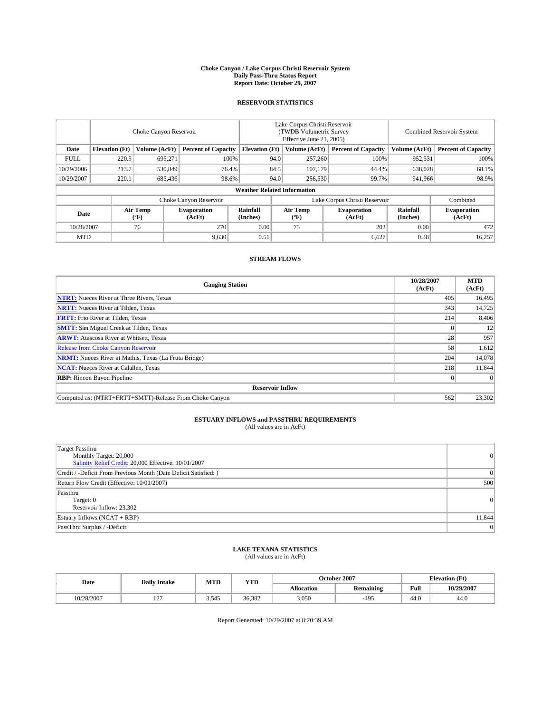#### **Choke Canyon / Lake Corpus Christi Reservoir System Daily Pass-Thru Status Report Report Date: October 29, 2007**

### **RESERVOIR STATISTICS**

|             | Choke Canyon Reservoir |                  |                              |                                    | Lake Corpus Christi Reservoir<br>(TWDB Volumetric Survey<br>Effective June 21, 2005) |                  |                              | Combined Reservoir System |                              |  |
|-------------|------------------------|------------------|------------------------------|------------------------------------|--------------------------------------------------------------------------------------|------------------|------------------------------|---------------------------|------------------------------|--|
| Date        | <b>Elevation</b> (Ft)  | Volume (AcFt)    | <b>Percent of Capacity</b>   | <b>Elevation</b> (Ft)              |                                                                                      | Volume (AcFt)    | <b>Percent of Capacity</b>   | Volume (AcFt)             | <b>Percent of Capacity</b>   |  |
| <b>FULL</b> | 220.5                  | 695.271          |                              | 100%                               | 94.0                                                                                 | 257,260          | 100%                         | 952,531                   | 100%                         |  |
| 10/29/2006  | 213.7                  | 530,849          | 76.4%                        |                                    | 84.5                                                                                 | 107,179          | 44.4%                        | 638,028                   | 68.1%                        |  |
| 10/29/2007  | 220.1                  | 685,436          | 98.6%                        |                                    | 94.0                                                                                 | 256,530          | 99.7%                        | 941,966                   | 98.9%                        |  |
|             |                        |                  |                              | <b>Weather Related Information</b> |                                                                                      |                  |                              |                           |                              |  |
|             |                        |                  | Choke Canyon Reservoir       |                                    | Lake Corpus Christi Reservoir                                                        |                  |                              |                           | Combined                     |  |
| Date        |                        | Air Temp<br>(°F) | <b>Evaporation</b><br>(AcFt) | Rainfall<br>(Inches)               |                                                                                      | Air Temp<br>("F) | <b>Evaporation</b><br>(AcFt) | Rainfall<br>(Inches)      | <b>Evaporation</b><br>(AcFt) |  |
| 10/28/2007  |                        | 76               | 270                          | 0.00                               |                                                                                      | 75               | 202                          | 0.00                      | 472                          |  |
| <b>MTD</b>  |                        |                  | 9,630                        | 0.51                               |                                                                                      |                  | 6,627                        | 0.38                      | 16,257                       |  |

## **STREAM FLOWS**

| <b>Gauging Station</b>                                       | 10/28/2007<br>(AcFt) | <b>MTD</b><br>(AcFt) |
|--------------------------------------------------------------|----------------------|----------------------|
| <b>NTRT:</b> Nueces River at Three Rivers, Texas             | 405                  | 16,495               |
| <b>NRTT:</b> Nueces River at Tilden, Texas                   | 343                  | 14,725               |
| <b>FRTT:</b> Frio River at Tilden, Texas                     | 214                  | 8,406                |
| <b>SMTT:</b> San Miguel Creek at Tilden, Texas               |                      | 12                   |
| <b>ARWT:</b> Atascosa River at Whitsett, Texas               | 28                   | 957                  |
| <b>Release from Choke Canyon Reservoir</b>                   | 58                   | 1,612                |
| <b>NRMT:</b> Nueces River at Mathis, Texas (La Fruta Bridge) | 204                  | 14,078               |
| <b>NCAT:</b> Nueces River at Calallen, Texas                 | 218                  | 11,844               |
| <b>RBP:</b> Rincon Bayou Pipeline                            |                      | $\Omega$             |
| <b>Reservoir Inflow</b>                                      |                      |                      |
| Computed as: (NTRT+FRTT+SMTT)-Release From Choke Canyon      | 562                  | 23,302               |

## **ESTUARY INFLOWS and PASSTHRU REQUIREMENTS**<br>(All values are in AcFt)

| <b>Target Passthru</b><br>Monthly Target: 20,000<br>Salinity Relief Credit: 20,000 Effective: 10/01/2007 | 0      |
|----------------------------------------------------------------------------------------------------------|--------|
| Credit / -Deficit From Previous Month (Date Deficit Satisfied: )                                         | 0      |
| Return Flow Credit (Effective: 10/01/2007)                                                               | 500    |
| Passthru<br>Target: 0<br>Reservoir Inflow: 23,302                                                        | 0      |
| Estuary Inflows (NCAT + RBP)                                                                             | 11,844 |
| PassThru Surplus / -Deficit:                                                                             | 0      |

## **LAKE TEXANA STATISTICS** (All values are in AcFt)

| Date       | <b>Daily Intake</b>      | MTD      | YTD    |            | October 2007     | (Ft)<br><b>Elevation</b> |            |
|------------|--------------------------|----------|--------|------------|------------------|--------------------------|------------|
|            |                          |          |        | Allocation | <b>Remaining</b> | Full                     | 10/29/2007 |
| 10/28/2007 | $\sim$<br>$\overline{1}$ | 545<br>. | 36.382 | 3,050      | $-495$           | 44.0                     | 44.0       |

Report Generated: 10/29/2007 at 8:20:39 AM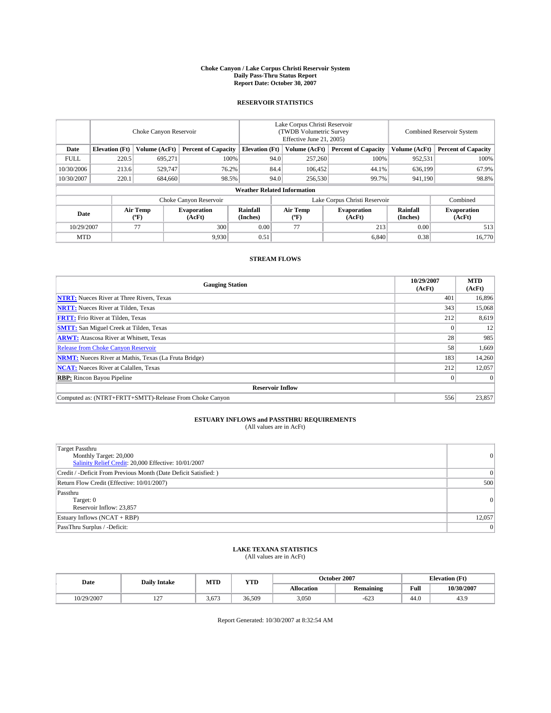#### **Choke Canyon / Lake Corpus Christi Reservoir System Daily Pass-Thru Status Report Report Date: October 30, 2007**

### **RESERVOIR STATISTICS**

|             | Choke Canyon Reservoir             |                  |                              |                       | Lake Corpus Christi Reservoir<br>(TWDB Volumetric Survey<br>Effective June 21, 2005) |                  |                               | Combined Reservoir System |                              |  |
|-------------|------------------------------------|------------------|------------------------------|-----------------------|--------------------------------------------------------------------------------------|------------------|-------------------------------|---------------------------|------------------------------|--|
| Date        | <b>Elevation</b> (Ft)              | Volume (AcFt)    | <b>Percent of Capacity</b>   | <b>Elevation</b> (Ft) |                                                                                      | Volume (AcFt)    | <b>Percent of Capacity</b>    | Volume (AcFt)             | <b>Percent of Capacity</b>   |  |
| <b>FULL</b> | 220.5                              | 695,271          |                              | 100%                  | 94.0                                                                                 | 257,260          | 100%                          | 952,531                   | 100%                         |  |
| 10/30/2006  | 213.6                              | 529,747          | 76.2%                        |                       | 84.4                                                                                 | 106,452          | 44.1%                         | 636,199                   | 67.9%                        |  |
| 10/30/2007  | 220.1                              | 684,660          | 98.5%                        |                       | 94.0                                                                                 | 256,530          | 99.7%                         | 941,190                   | 98.8%                        |  |
|             | <b>Weather Related Information</b> |                  |                              |                       |                                                                                      |                  |                               |                           |                              |  |
|             |                                    |                  | Choke Canyon Reservoir       |                       |                                                                                      |                  | Lake Corpus Christi Reservoir |                           | Combined                     |  |
| Date        |                                    | Air Temp<br>(°F) | <b>Evaporation</b><br>(AcFt) | Rainfall<br>(Inches)  |                                                                                      | Air Temp<br>("F) | <b>Evaporation</b><br>(AcFt)  | Rainfall<br>(Inches)      | <b>Evaporation</b><br>(AcFt) |  |
| 10/29/2007  |                                    | 77               | 300                          | 0.00                  |                                                                                      | 77               | 213                           | 0.00                      | 513                          |  |
| <b>MTD</b>  |                                    |                  | 9.930                        | 0.51                  |                                                                                      |                  | 6,840                         | 0.38                      | 16,770                       |  |

## **STREAM FLOWS**

| <b>Gauging Station</b>                                       | 10/29/2007<br>(AcFt) | <b>MTD</b><br>(AcFt) |
|--------------------------------------------------------------|----------------------|----------------------|
| <b>NTRT:</b> Nueces River at Three Rivers, Texas             | 401                  | 16,896               |
| <b>NRTT:</b> Nueces River at Tilden, Texas                   | 343                  | 15,068               |
| <b>FRTT:</b> Frio River at Tilden, Texas                     | 212                  | 8,619                |
| <b>SMTT:</b> San Miguel Creek at Tilden, Texas               |                      | 12                   |
| <b>ARWT:</b> Atascosa River at Whitsett, Texas               | 28                   | 985                  |
| <b>Release from Choke Canyon Reservoir</b>                   | 58                   | 1,669                |
| <b>NRMT:</b> Nueces River at Mathis, Texas (La Fruta Bridge) | 183                  | 14,260               |
| <b>NCAT:</b> Nueces River at Calallen, Texas                 | 212                  | 12,057               |
| <b>RBP:</b> Rincon Bayou Pipeline                            |                      | $\Omega$             |
| <b>Reservoir Inflow</b>                                      |                      |                      |
| Computed as: (NTRT+FRTT+SMTT)-Release From Choke Canyon      | 556                  | 23,857               |

## **ESTUARY INFLOWS and PASSTHRU REQUIREMENTS**<br>(All values are in AcFt)

| <b>Target Passthru</b><br>Monthly Target: 20,000<br>Salinity Relief Credit: 20,000 Effective: 10/01/2007 | 0      |
|----------------------------------------------------------------------------------------------------------|--------|
| Credit / -Deficit From Previous Month (Date Deficit Satisfied: )                                         | 0      |
| Return Flow Credit (Effective: 10/01/2007)                                                               | 500    |
| Passthru<br>Target: 0<br>Reservoir Inflow: 23,857                                                        | 0      |
| Estuary Inflows (NCAT + RBP)                                                                             | 12,057 |
| PassThru Surplus / -Deficit:                                                                             | 0      |

## **LAKE TEXANA STATISTICS** (All values are in AcFt)

| Date       | <b>Daily Intake</b>      | MTD   | <b>YTD</b> |                   | October 2007     | <b>Elevation</b> (Ft) |            |
|------------|--------------------------|-------|------------|-------------------|------------------|-----------------------|------------|
|            |                          |       |            | <b>Allocation</b> | <b>Remaining</b> | Full                  | 10/30/2007 |
| 10/29/2007 | $\sim$<br>$\overline{1}$ | 3.673 | 36.509     | 3.050             | $-623$           | 44.0                  | 43.9       |

Report Generated: 10/30/2007 at 8:32:54 AM